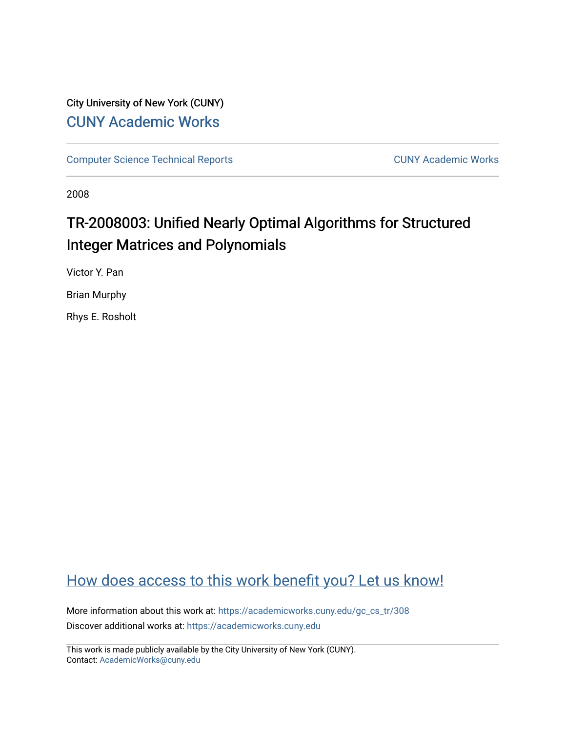# City University of New York (CUNY) [CUNY Academic Works](https://academicworks.cuny.edu/)

[Computer Science Technical Reports](https://academicworks.cuny.edu/gc_cs_tr) **CUNY Academic Works** CUNY Academic Works

2008

# TR-2008003: Unified Nearly Optimal Algorithms for Structured Integer Matrices and Polynomials

Victor Y. Pan

Brian Murphy

Rhys E. Rosholt

# [How does access to this work benefit you? Let us know!](http://ols.cuny.edu/academicworks/?ref=https://academicworks.cuny.edu/gc_cs_tr/308)

More information about this work at: [https://academicworks.cuny.edu/gc\\_cs\\_tr/308](https://academicworks.cuny.edu/gc_cs_tr/308)  Discover additional works at: [https://academicworks.cuny.edu](https://academicworks.cuny.edu/?)

This work is made publicly available by the City University of New York (CUNY). Contact: [AcademicWorks@cuny.edu](mailto:AcademicWorks@cuny.edu)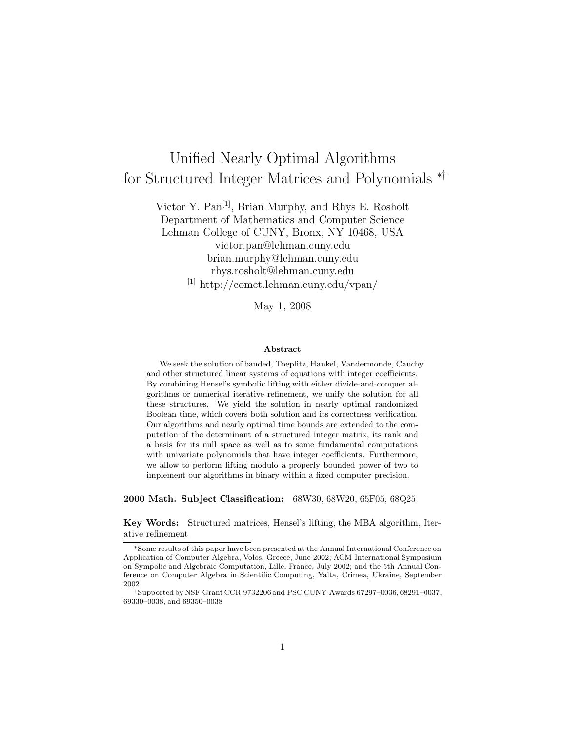# Unified Nearly Optimal Algorithms for Structured Integer Matrices and Polynomials ∗†

Victor Y. Pan[1], Brian Murphy, and Rhys E. Rosholt Department of Mathematics and Computer Science Lehman College of CUNY, Bronx, NY 10468, USA victor.pan@lehman.cuny.edu brian.murphy@lehman.cuny.edu rhys.rosholt@lehman.cuny.edu [1] http://comet.lehman.cuny.edu/vpan/

May 1, 2008

#### **Abstract**

We seek the solution of banded, Toeplitz, Hankel, Vandermonde, Cauchy and other structured linear systems of equations with integer coefficients. By combining Hensel's symbolic lifting with either divide-and-conquer algorithms or numerical iterative refinement, we unify the solution for all these structures. We yield the solution in nearly optimal randomized Boolean time, which covers both solution and its correctness verification. Our algorithms and nearly optimal time bounds are extended to the computation of the determinant of a structured integer matrix, its rank and a basis for its null space as well as to some fundamental computations with univariate polynomials that have integer coefficients. Furthermore, we allow to perform lifting modulo a properly bounded power of two to implement our algorithms in binary within a fixed computer precision.

**2000 Math. Subject Classification:** 68W30, 68W20, 65F05, 68Q25

**Key Words:** Structured matrices, Hensel's lifting, the MBA algorithm, Iterative refinement

<sup>∗</sup>Some results of this paper have been presented at the Annual International Conference on Application of Computer Algebra, Volos, Greece, June 2002; ACM International Symposium on Sympolic and Algebraic Computation, Lille, France, July 2002; and the 5th Annual Conference on Computer Algebra in Scientific Computing, Yalta, Crimea, Ukraine, September 2002

<sup>†</sup>Supported by NSF Grant CCR 9732206 and PSC CUNY Awards 67297–0036, 68291–0037, 69330–0038, and 69350–0038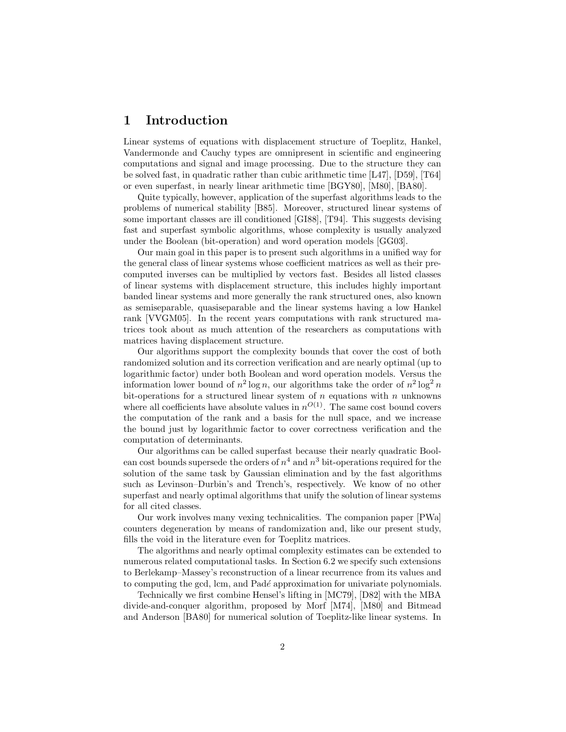## **1 Introduction**

Linear systems of equations with displacement structure of Toeplitz, Hankel, Vandermonde and Cauchy types are omnipresent in scientific and engineering computations and signal and image processing. Due to the structure they can be solved fast, in quadratic rather than cubic arithmetic time [L47], [D59], [T64] or even superfast, in nearly linear arithmetic time [BGY80], [M80], [BA80].

Quite typically, however, application of the superfast algorithms leads to the problems of numerical stability [B85]. Moreover, structured linear systems of some important classes are ill conditioned [GI88], [T94]. This suggests devising fast and superfast symbolic algorithms, whose complexity is usually analyzed under the Boolean (bit-operation) and word operation models [GG03].

Our main goal in this paper is to present such algorithms in a unified way for the general class of linear systems whose coefficient matrices as well as their precomputed inverses can be multiplied by vectors fast. Besides all listed classes of linear systems with displacement structure, this includes highly important banded linear systems and more generally the rank structured ones, also known as semiseparable, quasiseparable and the linear systems having a low Hankel rank [VVGM05]. In the recent years computations with rank structured matrices took about as much attention of the researchers as computations with matrices having displacement structure.

Our algorithms support the complexity bounds that cover the cost of both randomized solution and its correction verification and are nearly optimal (up to logarithmic factor) under both Boolean and word operation models. Versus the information lower bound of  $n^2 \log n$ , our algorithms take the order of  $n^2 \log^2 n$ bit-operations for a structured linear system of  $n$  equations with  $n$  unknowns where all coefficients have absolute values in  $n^{O(1)}$ . The same cost bound covers the computation of the rank and a basis for the null space, and we increase the bound just by logarithmic factor to cover correctness verification and the computation of determinants.

Our algorithms can be called superfast because their nearly quadratic Boolean cost bounds supersede the orders of  $n<sup>4</sup>$  and  $n<sup>3</sup>$  bit-operations required for the solution of the same task by Gaussian elimination and by the fast algorithms such as Levinson–Durbin's and Trench's, respectively. We know of no other superfast and nearly optimal algorithms that unify the solution of linear systems for all cited classes.

Our work involves many vexing technicalities. The companion paper [PWa] counters degeneration by means of randomization and, like our present study, fills the void in the literature even for Toeplitz matrices.

The algorithms and nearly optimal complexity estimates can be extended to numerous related computational tasks. In Section 6.2 we specify such extensions to Berlekamp–Massey's reconstruction of a linear recurrence from its values and to computing the gcd, lcm, and Padé approximation for univariate polynomials.

Technically we first combine Hensel's lifting in [MC79], [D82] with the MBA divide-and-conquer algorithm, proposed by Morf [M74], [M80] and Bitmead and Anderson [BA80] for numerical solution of Toeplitz-like linear systems. In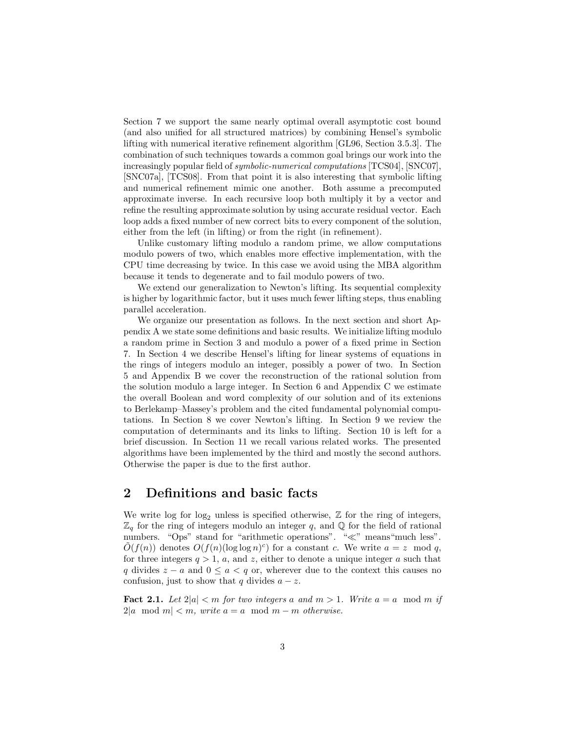Section 7 we support the same nearly optimal overall asymptotic cost bound (and also unified for all structured matrices) by combining Hensel's symbolic lifting with numerical iterative refinement algorithm [GL96, Section 3.5.3]. The combination of such techniques towards a common goal brings our work into the increasingly popular field of *symbolic-numerical computations* [TCS04], [SNC07], [SNC07a], [TCS08]. From that point it is also interesting that symbolic lifting and numerical refinement mimic one another. Both assume a precomputed approximate inverse. In each recursive loop both multiply it by a vector and refine the resulting approximate solution by using accurate residual vector. Each loop adds a fixed number of new correct bits to every component of the solution, either from the left (in lifting) or from the right (in refinement).

Unlike customary lifting modulo a random prime, we allow computations modulo powers of two, which enables more effective implementation, with the CPU time decreasing by twice. In this case we avoid using the MBA algorithm because it tends to degenerate and to fail modulo powers of two.

We extend our generalization to Newton's lifting. Its sequential complexity is higher by logarithmic factor, but it uses much fewer lifting steps, thus enabling parallel acceleration.

We organize our presentation as follows. In the next section and short Appendix A we state some definitions and basic results. We initialize lifting modulo a random prime in Section 3 and modulo a power of a fixed prime in Section 7. In Section 4 we describe Hensel's lifting for linear systems of equations in the rings of integers modulo an integer, possibly a power of two. In Section 5 and Appendix B we cover the reconstruction of the rational solution from the solution modulo a large integer. In Section 6 and Appendix C we estimate the overall Boolean and word complexity of our solution and of its extenions to Berlekamp–Massey's problem and the cited fundamental polynomial computations. In Section 8 we cover Newton's lifting. In Section 9 we review the computation of determinants and its links to lifting. Section 10 is left for a brief discussion. In Section 11 we recall various related works. The presented algorithms have been implemented by the third and mostly the second authors. Otherwise the paper is due to the first author.

## **2 Definitions and basic facts**

We write log for log<sub>2</sub> unless is specified otherwise,  $\mathbb Z$  for the ring of integers,  $\mathbb{Z}_q$  for the ring of integers modulo an integer q, and Q for the field of rational numbers. "Ops" stand for "arithmetic operations". " $\ll$ " means "much less".  $O(f(n))$  denotes  $O(f(n)(\log \log n)^c)$  for a constant c. We write  $a = z \mod q$ , for three integers  $q > 1$ , a, and z, either to denote a unique integer a such that q divides  $z - a$  and  $0 \le a \le q$  or, wherever due to the context this causes no confusion, just to show that q divides  $a - z$ .

**Fact 2.1.** Let  $2|a| < m$  for two integers a and  $m > 1$ . Write  $a = a \mod m$  if  $2|a \mod m| < m$ , write  $a = a \mod m - m$  *otherwise*.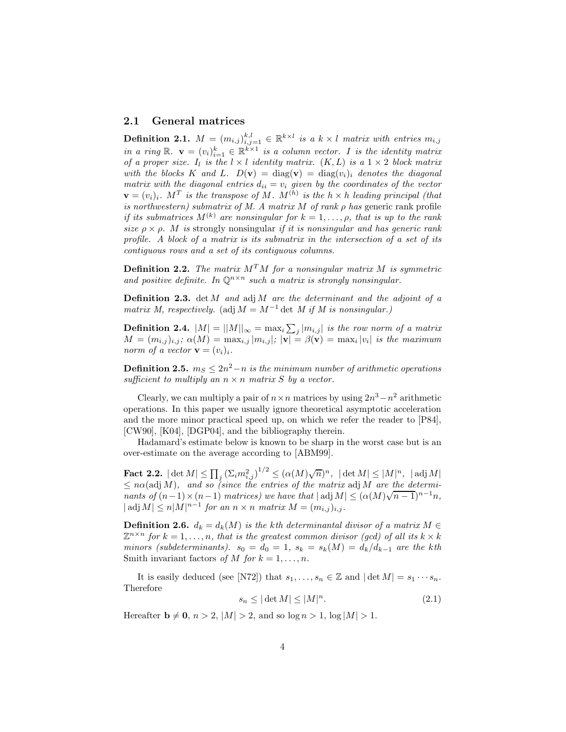### **2.1 General matrices**

**Definition 2.1.**  $M = (m_{i,j})_{i,j=1}^{k,l} \in \mathbb{R}^{k \times l}$  is a  $k \times l$  matrix with entries  $m_{i,j}$ *in a ring*  $\mathbb{R}$ .  $\mathbf{v} = (v_i)_{i=1}^k \in \mathbb{R}^{k \times 1}$  *is a column vector. I is the identity matrix of a proper size.*  $I_l$  *is the*  $l \times l$  *identity matrix.*  $(K, L)$  *is a*  $1 \times 2$  *block matrix* with the blocks K and L.  $D(\mathbf{v}) = \text{diag}(\mathbf{v}) = \text{diag}(v_i)_i$  denotes the diagonal *matrix with the diagonal entries*  $d_{ii} = v_i$  *given by the coordinates of the vector*  $\mathbf{v} = (v_i)_i$ . M<sup>T</sup> is the transpose of M. M<sup>(h)</sup> is the  $h \times h$  leading principal (that *is northwestern) submatrix of M. A matrix* M *of rank* ρ *has* generic rank profile *if its submatrices*  $M^{(k)}$  *are nonsingular for*  $k = 1, \ldots, \rho$ *, that is up to the rank size*  $\rho \times \rho$ *. M is* strongly nonsingular *if it is nonsingular and has generic rank profile. A block of a matrix is its submatrix in the intersection of a set of its contiguous rows and a set of its contiguous columns.*

**Definition 2.2.** *The matrix*  $M^T M$  *for a nonsingular matrix*  $M$  *is symmetric* and positive definite. In  $\mathbb{O}^{n \times n}$  *such a matrix is strongly nonsingular.* 

**Definition 2.3.** det M *and* adj M *are the determinant and the adjoint of a matrix M, respectively.* (adj  $M = M^{-1}$  det *M if M is nonsingular.)* 

**Definition 2.4.**  $|M| = ||M||_{\infty} = \max_{i} \sum_{j} |m_{i,j}|$  *is the row norm of a matrix*  $M = (m_{i,j})_{i,j}$ ;  $\alpha(M) = \max_{i,j} |m_{i,j}|$ ;  $|\mathbf{v}| = \beta(\mathbf{v}) = \max_i |v_i|$  *is the maximum norm of a vector*  $\mathbf{v} = (v_i)_i$ .

**Definition 2.5.**  $m_S \leq 2n^2 - n$  *is the minimum number of arithmetic operations sufficient to multiply an*  $n \times n$  *matrix S by a vector.* 

Clearly, we can multiply a pair of  $n \times n$  matrices by using  $2n^3 - n^2$  arithmetic operations. In this paper we usually ignore theoretical asymptotic acceleration and the more minor practical speed up, on which we refer the reader to [P84], [CW90], [K04], [DGP04], and the bibliography therein.

Hadamard's estimate below is known to be sharp in the worst case but is an over-estimate on the average according to [ABM99].

 $\textbf{Fact 2.2.} \mid \det M \vert \leq \prod_j \left( \Sigma_i m_{i,j}^2 \right)^{1/2} \leq (\alpha(M) \sqrt{n})^n, \ \vert \det M \vert \leq \vert M \vert^n, \ \vert \operatorname{adj} M \vert$  $\leq n\alpha$ (adj M), and so (since the entries of the matrix adj M are the determi- $\leq n\alpha$  (adj *M*), and so (since the entries of the matrix adj *M* are the determi-<br>nants of  $(n-1) \times (n-1)$  matrices) we have that  $|\text{adj } M| \leq (\alpha(M)\sqrt{n-1})^{n-1}n$ ,  $|\operatorname{adj} M| \leq n|M|^{n-1}$  *for an*  $n \times n$  *matrix*  $M = (m_{i,j})_{i,j}$ *.* 

**Definition 2.6.**  $d_k = d_k(M)$  *is the kth determinantal divisor of a matrix*  $M \in$  $\mathbb{Z}^{n \times n}$  for  $k = 1, \ldots, n$ , that is the greatest common divisor (gcd) of all its  $k \times k$ *minors (subdeterminants).*  $s_0 = d_0 = 1$ ,  $s_k = s_k(M) = d_k/d_{k-1}$  *are the kth* Smith invariant factors of M for  $k = 1, \ldots, n$ .

It is easily deduced (see [N72]) that  $s_1, \ldots, s_n \in \mathbb{Z}$  and  $|\det M| = s_1 \cdots s_n$ . Therefore

$$
s_n \le |\det M| \le |M|^n. \tag{2.1}
$$

Hereafter  $\mathbf{b} \neq \mathbf{0}$ ,  $n > 2$ ,  $|M| > 2$ , and so  $\log n > 1$ ,  $\log |M| > 1$ .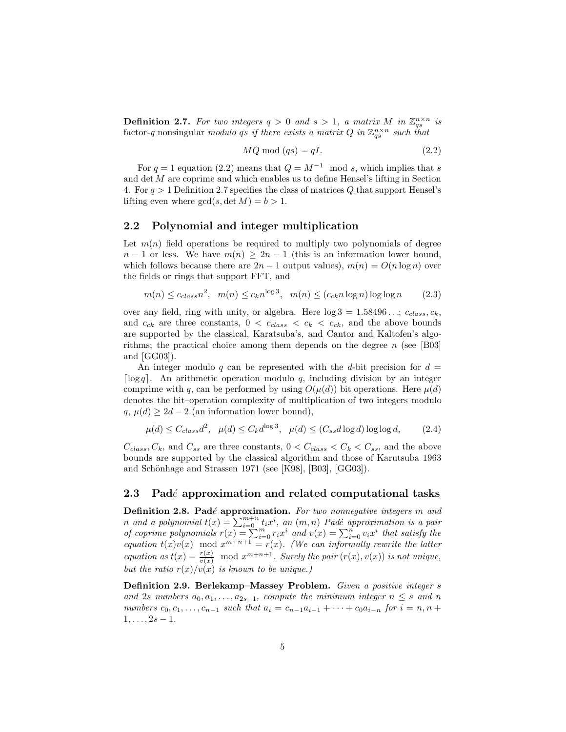**Definition 2.7.** For two integers  $q > 0$  and  $s > 1$ , a matrix M in  $\mathbb{Z}_{qs}^{n \times n}$  is factor-q nonsingular *modulo* qs if there exists a matrix Q in  $\mathbb{Z}_{gs}^{n \times n}$  such that

$$
MQ \bmod (qs) = qI. \tag{2.2}
$$

For  $q = 1$  equation (2.2) means that  $Q = M^{-1}$  mod s, which implies that s and det  $M$  are coprime and which enables us to define Hensel's lifting in Section 4. For  $q > 1$  Definition 2.7 specifies the class of matrices Q that support Hensel's lifting even where  $gcd(s, \det M) = b > 1$ .

### **2.2 Polynomial and integer multiplication**

Let  $m(n)$  field operations be required to multiply two polynomials of degree  $n-1$  or less. We have  $m(n) \geq 2n-1$  (this is an information lower bound, which follows because there are  $2n - 1$  output values),  $m(n) = O(n \log n)$  over the fields or rings that support FFT, and

$$
m(n) \le c_{class} n^2, \quad m(n) \le c_k n^{\log 3}, \quad m(n) \le (c_{ck} n \log n) \log \log n \tag{2.3}
$$

over any field, ring with unity, or algebra. Here  $\log 3 = 1.58496...$ ;  $c_{class}$ ,  $c_k$ , and  $c_{ck}$  are three constants,  $0 < c_{class} < c_k < c_{ck}$ , and the above bounds are supported by the classical, Karatsuba's, and Cantor and Kaltofen's algorithms; the practical choice among them depends on the degree  $n$  (see [B03] and [GG03]).

An integer modulo q can be represented with the d-bit precision for  $d =$ [ $log q$ ]. An arithmetic operation modulo q, including division by an integer comprime with q, can be performed by using  $O(\mu(d))$  bit operations. Here  $\mu(d)$ denotes the bit–operation complexity of multiplication of two integers modulo  $q, \mu(d) \geq 2d - 2$  (an information lower bound),

$$
\mu(d) \le C_{class} d^2, \quad \mu(d) \le C_k d^{\log 3}, \quad \mu(d) \le (C_{ss} d \log d) \log \log d, \tag{2.4}
$$

 $C_{class}, C_k$ , and  $C_{ss}$  are three constants,  $0 < C_{class} < C_k < C_{ss}$ , and the above bounds are supported by the classical algorithm and those of Karutsuba 1963 and Schönhage and Strassen 1971 (see [K98], [B03], [GG03]).

#### **2.3 Pad***e*´ **approximation and related computational tasks**

**Definition 2.8. Pad**é **approximation.** For two nonnegative integers m and *n* and a polynomial  $t(x) = \sum_{i=0}^{m+n} t_i x^i$ , an  $(m, n)$  Padé approximation is a pair *of coprime polynomials*  $r(x) = \sum_{i=0}^{n} r_i x^i$  *and*  $v(x) = \sum_{i=0}^{n} v_i x^i$  *that satisfy the equation*  $t(x)v(x)$  mod  $x^{m+n+1} = r(x)$ *. (We can informally rewrite the latter equation as*  $t(x) = \frac{r(x)}{v(x)}$  mod  $x^{m+n+1}$ *. Surely the pair*  $(r(x), v(x))$  *is not unique, but the ratio*  $r(x)/v(x)$  *is known to be unique.*)

**Definition 2.9. Berlekamp–Massey Problem.** *Given a positive integer* s and 2s numbers  $a_0, a_1, \ldots, a_{2s-1}$ , compute the minimum integer  $n \leq s$  and n *numbers*  $c_0, c_1, \ldots, c_{n-1}$  *such that*  $a_i = c_{n-1}a_{i-1} + \cdots + c_0a_{i-n}$  *for*  $i = n, n +$  $1, \ldots, 2s - 1.$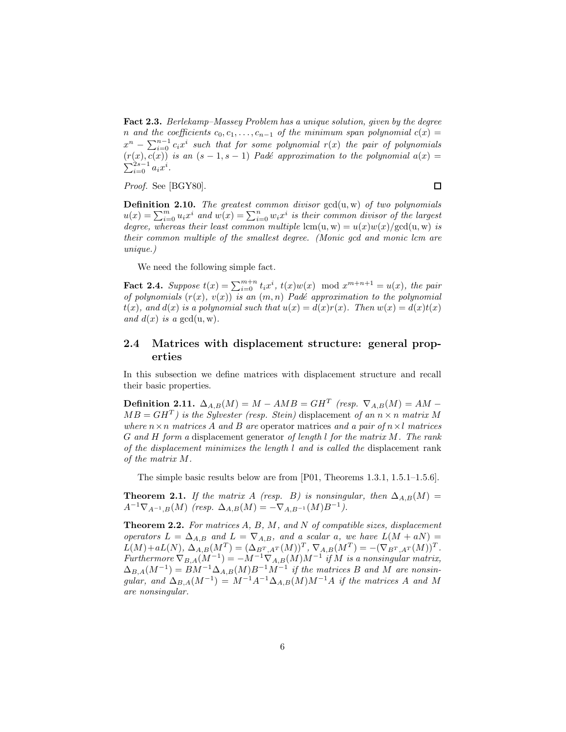**Fact 2.3.** *Berlekamp–Massey Problem has a unique solution, given by the degree* n and the coefficients  $c_0, c_1, \ldots, c_{n-1}$  of the minimum span polynomial  $c(x) =$  $x^n - \sum_{i=0}^{n-1} c_i x^i$  *such that for some polynomial*  $r(x)$  *the pair of polynomials*  $(r(x), \tilde{c(x)})$  *is an*  $(s - 1, s - 1)$  *Padé approximation to the polynomial*  $a(x) =$  $\sum_{i=0}^{2s-1} a_i x^i$ .

*Proof.* See [BGY80].

**Definition 2.10.** *The greatest common divisor* gcd(u, w) *of two polynomials*  $u(x) = \sum_{i=0}^{m} u_i x^i$  and  $w(x) = \sum_{i=0}^{n} w_i x^i$  is their common divisor of the largest *degree, whereas their least common multiple* lcm(u, w) =  $u(x)w(x)/gcd(u, w)$  *is their common multiple of the smallest degree. (Monic gcd and monic lcm are unique.)*

We need the following simple fact.

**Fact 2.4.** Suppose  $t(x) = \sum_{i=0}^{m+n} t_i x^i$ ,  $t(x)w(x) \mod x^{m+n+1} = u(x)$ , the pair *of polynomials*  $(r(x), v(x))$  *is an*  $(m, n)$  *Padé approximation to the polynomial*  $t(x)$ *, and*  $d(x)$  *is a polynomial such that*  $u(x) = d(x)r(x)$ *. Then*  $w(x) = d(x)t(x)$ *and*  $d(x)$  *is a* gcd(u, w).

### **2.4 Matrices with displacement structure: general properties**

In this subsection we define matrices with displacement structure and recall their basic properties.

**Definition 2.11.**  $\Delta_{A,B}(M) = M - AMB = GH^T$  *(resp.*  $\nabla_{A,B}(M) = AM MB = GH^T$  *is the Sylvester (resp. Stein)* displacement *of an*  $n \times n$  *matrix* M *where*  $n \times n$  *matrices* A *and* B *are* operator matrices *and a pair* of  $n \times l$  *matrices* G *and* H *form a* displacement generator *of length* l *for the matrix* M*. The rank of the displacement minimizes the length* l *and is called the* displacement rank *of the matrix* M*.*

The simple basic results below are from [P01, Theorems 1.3.1, 1.5.1–1.5.6].

**Theorem 2.1.** *If the matrix A (resp. B) is nonsingular, then*  $\Delta_{A,B}(M)$  =  $A^{-1}\nabla_{A^{-1},B}(M)$  *(resp.*  $\Delta_{A,B}(M) = -\nabla_{A,B^{-1}}(M)B^{-1}$ ).

**Theorem 2.2.** *For matrices* A*,* B*,* M*, and* N *of compatible sizes, displacement operators*  $L = \Delta_{A,B}$  *and*  $L = \nabla_{A,B}$ *, and a scalar a, we have*  $L(M + aN) =$  $L(M) + aL(N), \ \Delta_{A,B}(M^T) = (\Delta_{B^T,A^T}(M))^T, \ \nabla_{A,B}(M^T) = -(\nabla_{B^T,A^T}(M))^T.$  $Furthermore, \nabla_{B,A}(M^{-1}) = -M^{-1}\nabla_{A,B}(M)M^{-1}$  *if* M *is a nonsingular matrix,*  $\Delta_{B,A}(M^{-1}) = BM^{-1} \Delta_{A,B}(M) B^{-1} M^{-1}$  *if the matrices* B and M are nonsin*gular, and*  $\Delta_{B,A}(M^{-1}) = M^{-1}A^{-1}\Delta_{A,B}(M)M^{-1}A$  *if the matrices* A *and* M *are nonsingular.*

 $\Box$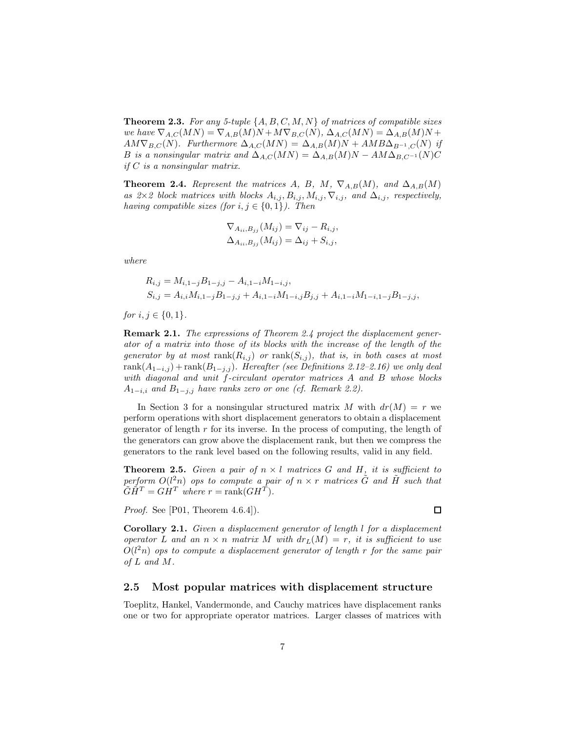**Theorem 2.3.** *For any 5-tuple* {A, B, C, M, N} *of matrices of compatible sizes we have*  $\nabla_{A,C}(MN) = \nabla_{A,B}(M)N + M\nabla_{B,C}(N)$ ,  $\Delta_{A,C}(MN) = \Delta_{A,B}(M)N +$  $AM\nabla_{B,C}(N)$ *. Furthermore*  $\Delta_{A,C}(MN) = \Delta_{A,B}(M)N + AMB\Delta_{B^{-1},C}(N)$  *if* B is a nonsingular matrix and  $\Delta_{A,C}(MN) = \Delta_{A,B}(M)N - AM\Delta_{B,C^{-1}}(N)C$ *if* C *is a nonsingular matrix.*

**Theorem 2.4.** *Represent the matrices* A, B, M,  $\nabla_{A,B}(M)$ *, and*  $\Delta_{A,B}(M)$ *as 2*×*2 block matrices with blocks*  $A_{i,j}$ ,  $B_{i,j}$ ,  $M_{i,j}$ ,  $\nabla_{i,j}$ *, and*  $\Delta_{i,j}$ *, respectively, having compatible sizes (for*  $i, j \in \{0, 1\}$ *). Then* 

$$
\nabla_{A_{ii},B_{jj}}(M_{ij}) = \nabla_{ij} - R_{i,j},
$$
  

$$
\Delta_{A_{ii},B_{jj}}(M_{ij}) = \Delta_{ij} + S_{i,j},
$$

*where*

$$
R_{i,j} = M_{i,1-j}B_{1-j,j} - A_{i,1-i}M_{1-i,j},
$$
  
\n
$$
S_{i,j} = A_{i,i}M_{i,1-j}B_{1-j,j} + A_{i,1-i}M_{1-i,j}B_{j,j} + A_{i,1-i}M_{1-i,1-j}B_{1-j,j},
$$

*for*  $i, j \in \{0, 1\}$ *.* 

**Remark 2.1.** *The expressions of Theorem 2.4 project the displacement generator of a matrix into those of its blocks with the increase of the length of the generator by at most*  $rank(R_{i,j})$  *or*  $rank(S_{i,j})$ *, that is, in both cases at most* rank $(A_{1-i,j})$  + rank $(B_{1-j,j})$ *. Hereafter (see Definitions 2.12–2.16) we only deal with diagonal and unit* f*-circulant operator matrices* A *and* B *whose blocks*  $A_{1-i,i}$  *and*  $B_{1-j,j}$  *have ranks zero or one (cf. Remark 2.2).* 

In Section 3 for a nonsingular structured matrix M with  $dr(M) = r$  we perform operations with short displacement generators to obtain a displacement generator of length  $r$  for its inverse. In the process of computing, the length of the generators can grow above the displacement rank, but then we compress the generators to the rank level based on the following results, valid in any field.

**Theorem 2.5.** *Given a pair of*  $n \times l$  *matrices G and H*, *it is sufficient to*  $p$ erform  $O(l^2n)$  *ops to compute a pair of*  $n \times r$  *matrices*  $\tilde{G}$  *and*  $\tilde{H}$  *such that*  $\widetilde{G}\widetilde{H}^T = G\widetilde{H}^T$  where  $r = \mathrm{rank}(GH^T)$ .

*Proof.* See [P01, Theorem 4.6.4]).

**Corollary 2.1.** *Given a displacement generator of length* l *for a displacement operator* L and an  $n \times n$  *matrix* M with  $dr_L(M) = r$ , it is sufficient to use O(l <sup>2</sup>n) *ops to compute a displacement generator of length* r *for the same pair of* L *and* M*.*

### **2.5 Most popular matrices with displacement structure**

Toeplitz, Hankel, Vandermonde, and Cauchy matrices have displacement ranks one or two for appropriate operator matrices. Larger classes of matrices with

 $\Box$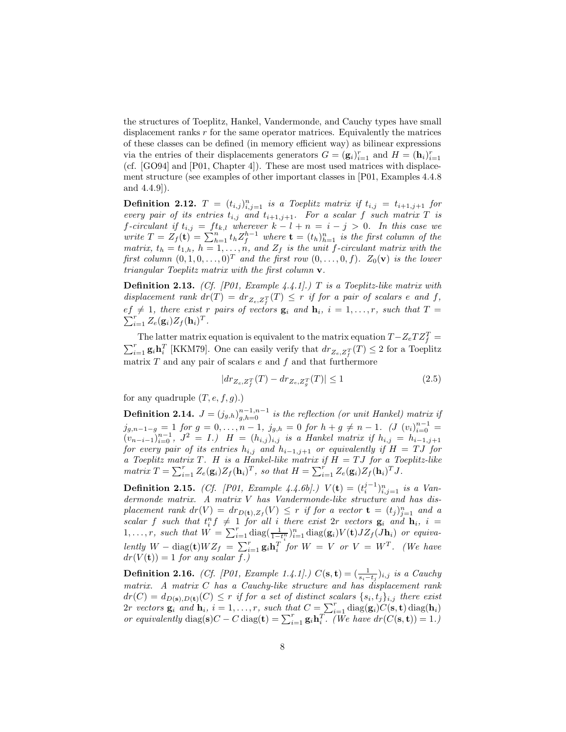the structures of Toeplitz, Hankel, Vandermonde, and Cauchy types have small displacement ranks r for the same operator matrices. Equivalently the matrices of these classes can be defined (in memory efficient way) as bilinear expressions via the entries of their displacements generators  $G = (\mathbf{g}_i)_{i=1}^r$  and  $H = (\mathbf{h}_i)_{i=1}^r$ (cf. [GO94] and [P01, Chapter 4]). These are most used matrices with displacement structure (see examples of other important classes in [P01, Examples 4.4.8 and 4.4.9]).

**Definition 2.12.**  $T = (t_{i,j})_{i,j=1}^n$  *is a Toeplitz matrix if*  $t_{i,j} = t_{i+1,j+1}$  *for every pair of its entries*  $t_{i,j}$  *and*  $t_{i+1,j+1}$ *. For a scalar f such matrix* T *is f*-circulant if  $t_{i,j} = ft_{k,l}$  wherever  $k - l + n = i - j > 0$ . In this case we *write*  $T = Z_f(\mathbf{t}) = \sum_{h=1}^{n} t_h Z_f^{h-1}$  *where*  $\mathbf{t} = (t_h)_{h=1}^n$  *is the first column of the matrix,*  $t_h = t_{1,h}$ ,  $h = 1, \ldots, n$ , and  $Z_f$  *is the unit f-circulant matrix with the first column*  $(0, 1, 0, \ldots, 0)^T$  *and the first row*  $(0, \ldots, 0, f)$ *.*  $Z_0(\mathbf{v})$  *is the lower triangular Toeplitz matrix with the first column* **v***.*

**Definition 2.13.** *(Cf. [P01, Example 4.4.1].)* T *is a Toeplitz-like matrix with displacement rank*  $dr(T) = dr_{Z_e, Z_f^T}(T) \leq r$  *if for a pair of scalars e and* f*,*  $ef \neq 1$ *, there exist* r pairs of vectors  $\mathbf{g}_i$  and  $\mathbf{h}_i$ ,  $i = 1, \ldots, r$ *, such that*  $T = \sum_{i=1}^{r} a_i (\mathbf{g}_i) Z_i (\mathbf{h}_i) T_i$  $\sum_{i=1}^r Z_e(\mathbf{g}_i)Z_f(\mathbf{h}_i)^T$ .

The latter matrix equation is equivalent to the matrix equation  $T - Z_e T Z_f^T = \sum_{i=1}^r \mathbf{g}_i \mathbf{h}_i^T$  [KKM79]. One can easily verify that  $dr_Z \propto_T(T) \leq 2$  for a Toeplitz  $\sum_{i=1}^r \mathbf{g}_i \mathbf{h}_i^T$  [KKM79]. One can easily verify that  $dr_{Z_e, Z_f^T}(T) \leq 2$  for a Toeplitz matrix  $T$  and any pair of scalars  $e$  and  $f$  and that furthermore

$$
|dr_{Z_e, Z_f^T}(T) - dr_{Z_e, Z_g^T}(T)| \le 1
$$
\n(2.5)

for any quadruple  $(T, e, f, g)$ .)

**Definition 2.14.**  $J = (j_{g,h})_{g,h=0}^{n-1,n-1}$  is the reflection (or unit Hankel) matrix if  $j_{g,n-1-g} = 1$  *for*  $g = 0, \ldots, n-1$ ,  $j_{g,h} = 0$  *for*  $h + g \neq n-1$ . (*J*  $(v_i)_{i=0}^{n-1} =$  $(v_{n-i-1})_{i=0}^{n-1}, J^2 = I.$ )  $H = (h_{i,j})_{i,j}$  *is a Hankel matrix if*  $h_{i,j} = h_{i-1,j+1}$ *for every pair of its entries*  $h_{i,j}$  *and*  $h_{i-1,j+1}$  *or equivalently if*  $H = TJ$  *for a Toeplitz matrix*  $T$ *. H is a Hankel-like matrix if*  $H = TJ$  *for a Toeplitz-like*  $matrix T = \sum_{i=1}^{r} Z_e(\mathbf{g}_i)Z_f(\mathbf{h}_i)^T$ , so that  $H = \sum_{i=1}^{r} Z_e(\mathbf{g}_i)Z_f(\mathbf{h}_i)^T J$ .

**Definition 2.15.** *(Cf. [P01, Example 4.4.6b].)*  $V(t) = (t_i^{j-1})_{i,j=1}^n$  is a Van*dermonde matrix. A matrix* V *has Vandermonde-like structure and has displacement rank*  $dr(V) = dr_{D(t),Z_f}(V) \leq r$  *if for a vector*  $\mathbf{t} = (t_j)_{j=1}^n$  *and a scalar* f *such* that  $t_i^n f \neq 1$  for all i there exist 2r *vectors*  $\mathbf{g}_i$  and  $\mathbf{h}_i$ ,  $i =$  $1, \ldots, r$ , such that  $W = \sum_{i=1}^{r} \text{diag}(\frac{1}{1-t_i^n})_{i=1}^n \text{diag}(\mathbf{g}_i)V(\mathbf{t})JZ_f(\mathbf{J}\mathbf{h}_i)$  or equivalently  $W - \text{diag}(\mathbf{t})WZ_f = \sum_{i=1}^r \mathbf{g}_i \mathbf{h}_i^T$  *for*  $W = V$  *or*  $V = W^T$ *. (We have*  $dr(V(\mathbf{t})) = 1$  *for any scalar f.)* 

**Definition 2.16.** *(Cf. [P01, Example 1.4.1].)*  $C(\mathbf{s}, \mathbf{t}) = (\frac{1}{s_i-t_j})_{i,j}$  *is a Cauchy matrix. A matrix* C *has a Cauchy-like structure and has displacement rank*  $dr(C) = d_{D(s),D(t)}(C) \leq r$  *if for a set of distinct scalars*  $\{s_i, t_j\}_{i,j}$  *there exist*  $2r$  *vectors*  $\mathbf{g}_i$  *and*  $\mathbf{h}_i$ ,  $i = 1, \ldots, r$ , such that  $C = \sum_{i=1}^r \text{diag}(\mathbf{g}_i) C(\mathbf{s}, \mathbf{t}) \text{diag}(\mathbf{h}_i)$ *or equivalently* diag(**s**) $C - C$  diag(**t**) =  $\sum_{i=1}^{r} g_i \mathbf{h}_i^T$ . (We have  $dr(C(\mathbf{s}, \mathbf{t})) = 1$ .)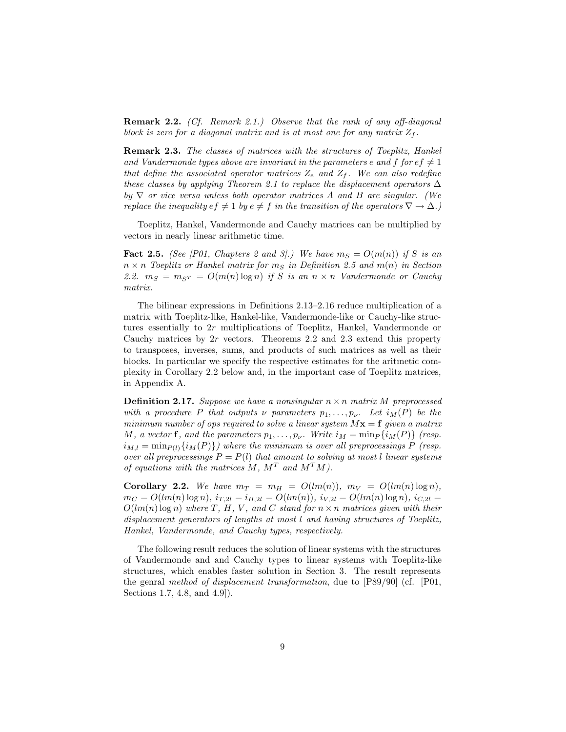**Remark 2.2.** *(Cf. Remark 2.1.) Observe that the rank of any off-diagonal block is zero for a diagonal matrix and is at most one for any matrix*  $Z_f$ .

**Remark 2.3.** *The classes of matrices with the structures of Toeplitz, Hankel* and Vandermonde types above are invariant in the parameters e and f for  $ef \neq 1$ *that define the associated operator matrices*  $Z_e$  *and*  $Z_f$ *. We can also redefine these classes by applying Theorem 2.1 to replace the displacement operators* ∆ *by* ∇ *or vice versa unless both operator matrices* A *and* B *are singular. (We replace the inequality*  $ef \neq 1$  *by*  $e \neq f$  *in the transition of the operators*  $\nabla \rightarrow \Delta$ *.*)

Toeplitz, Hankel, Vandermonde and Cauchy matrices can be multiplied by vectors in nearly linear arithmetic time.

**Fact 2.5.** *(See [P01, Chapters 2 and 3].) We have*  $m_S = O(m(n))$  *if* S *is an*  $n \times n$  *Toeplitz or Hankel matrix for*  $m<sub>S</sub>$  *in Definition 2.5 and*  $m(n)$  *in Section* 2.2.  $m_S = m_{S^T} = O(m(n) \log n)$  *if* S *is an*  $n \times n$  *Vandermonde or Cauchy matrix.*

The bilinear expressions in Definitions 2.13–2.16 reduce multiplication of a matrix with Toeplitz-like, Hankel-like, Vandermonde-like or Cauchy-like structures essentially to 2r multiplications of Toeplitz, Hankel, Vandermonde or Cauchy matrices by  $2r$  vectors. Theorems 2.2 and 2.3 extend this property to transposes, inverses, sums, and products of such matrices as well as their blocks. In particular we specify the respective estimates for the aritmetic complexity in Corollary 2.2 below and, in the important case of Toeplitz matrices, in Appendix A.

**Definition 2.17.** *Suppose we have a nonsingular*  $n \times n$  *matrix M preprocessed with a procedure* P *that outputs*  $\nu$  *parameters*  $p_1, \ldots, p_{\nu}$ . Let  $i_M(P)$  be the *minimum number of ops required to solve a linear system*  $M\mathbf{x} = \mathbf{f}$  *given a matrix* M, a vector **f**, and the parameters  $p_1, \ldots, p_\nu$ . Write  $i_M = \min_P \{i_M(P)\}$  (resp.  $i_{M,l} = \min_{P(l)} {i_M(P)}$ *) where the minimum is over all preprocessings* P *(resp. over all preprocessings*  $P = P(l)$  *that amount to solving at most l linear systems of equations with the matrices*  $M$ *,*  $M<sup>T</sup>$  *and*  $M<sup>T</sup>M$ *)*.

**Corollary 2.2.** We have  $m_T = m_H = O(lm(n))$ ,  $m_V = O(lm(n) \log n)$ ,  $m_C = O(lm(n) \log n)$ ,  $i_{T,2l} = i_{H,2l} = O(lm(n))$ ,  $i_{V,2l} = O(lm(n) \log n)$ ,  $i_{C,2l} =$  $O(lm(n) \log n)$  where  $T$ ,  $H$ ,  $V$ , and  $C$  *stand for*  $n \times n$  *matrices given with their displacement generators of lengths at most* l *and having structures of Toeplitz, Hankel, Vandermonde, and Cauchy types, respectively.*

The following result reduces the solution of linear systems with the structures of Vandermonde and and Cauchy types to linear systems with Toeplitz-like structures, which enables faster solution in Section 3. The result represents the genral *method of displacement transformation*, due to [P89/90] (cf. [P01, Sections 1.7, 4.8, and 4.9]).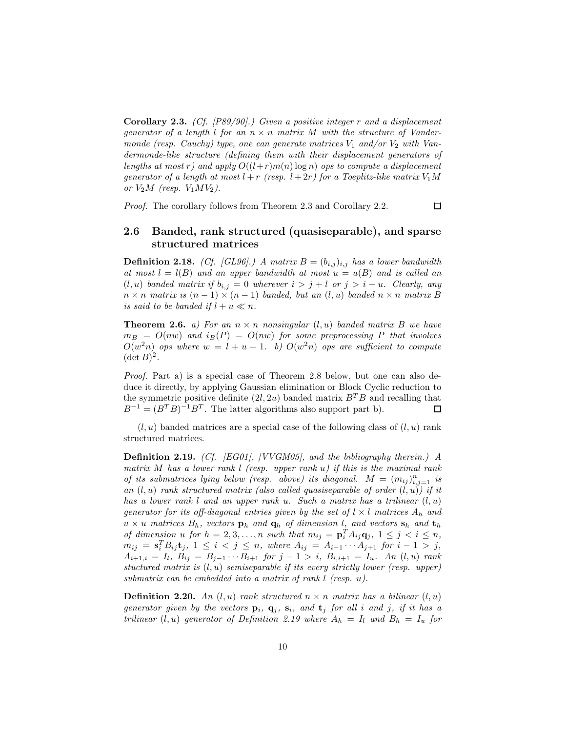**Corollary 2.3.** *(Cf. [P89/90].) Given a positive integer* r *and a displacement generator of a length l for an*  $n \times n$  *matrix M with the structure of Vandermonde (resp. Cauchy) type, one can generate matrices*  $V_1$  *and/or*  $V_2$  *with Vandermonde-like structure (defining them with their displacement generators of lengths at most* r) and apply  $O((l+r)m(n) \log n)$  *ops to compute a displacement generator of a length at most*  $l + r$  *(resp.*  $l + 2r$ *) for a Toeplitz-like matrix*  $V_1M$ *or*  $V_2M$  *(resp.*  $V_1MV_2$ *).* 

*Proof.* The corollary follows from Theorem 2.3 and Corollary 2.2.

## **2.6 Banded, rank structured (quasiseparable), and sparse structured matrices**

 $\Box$ 

**Definition 2.18.** *(Cf. [GL96].)* A matrix  $B = (b_{i,j})_{i,j}$  has a lower bandwidth *at most*  $l = l(B)$  *and an upper bandwidth at most*  $u = u(B)$  *and is called an*  $(l, u)$  *banded matrix if*  $b_{i,j} = 0$  *wherever*  $i > j + l$  *or*  $j > i + u$ *. Clearly, any*  $n \times n$  *matrix is*  $(n - 1) \times (n - 1)$  *banded, but an*  $(l, u)$  *banded*  $n \times n$  *matrix* B *is said to be banded if*  $l + u \ll n$ *.* 

**Theorem 2.6.** *a)* For an  $n \times n$  *nonsingular*  $(l, u)$  *banded matrix* B *we have*  $m_B = O(nw)$  and  $i_B(P) = O(nw)$  for some preprocessing P that involves  $O(w<sup>2</sup>n)$  *ops where*  $w = l + u + 1$ *. b)*  $O(w<sup>2</sup>n)$  *ops are sufficient to compute*  $(\det B)^2$ .

*Proof.* Part a) is a special case of Theorem 2.8 below, but one can also deduce it directly, by applying Gaussian elimination or Block Cyclic reduction to the symmetric positive definite  $(2l, 2u)$  banded matrix  $B<sup>T</sup>B$  and recalling that  $B^{-1} = (B^T B)^{-1} B^T$ . The latter algorithms also support part b).  $\Box$ 

 $(l, u)$  banded matrices are a special case of the following class of  $(l, u)$  rank structured matrices.

**Definition 2.19.** *(Cf. [EG01], [VVGM05], and the bibliography therein.) A matrix* M *has a lower rank* l *(resp. upper rank* u*) if this is the maximal rank of its submatrices lying below (resp. above) its diagonal.*  $M = (m_{ij})_{i,j=1}^n$  *is an* (l, u) *rank structured matrix (also called quasiseparable of order* (l, u)*) if it has a lower rank* l *and an upper rank* u*. Such a matrix has a trilinear* (l, u) *generator for its off-diagonal entries given by the set of*  $l \times l$  *matrices*  $A_h$  *and*  $u \times u$  *matrices*  $B_h$ *, vectors*  $\mathbf{p}_h$  *and*  $\mathbf{q}_h$  *of dimension l, and vectors*  $\mathbf{s}_h$  *and*  $\mathbf{t}_h$ *of dimension*  $u$  *for*  $h = 2, 3, \ldots, n$  *such that*  $m_{ij} = \mathbf{p}_i^T A_{ij} \mathbf{q}_j$ ,  $1 \leq j \leq i \leq n$ ,  $m_{ij} = \mathbf{s}_i^T B_{ij} \mathbf{t}_j, \ 1 \leq i \, 1 \leq j \leq n, \ where \ A_{ij} = A_{i-1} \cdots A_{j+1} \ for \ i-1 \, > \, j,$  $A_{i+1,i} = I_l, B_{ij} = B_{j-1} \cdots B_{i+1}$  *for*  $j - 1 > i, B_{i,i+1} = I_u$ . An  $(l, u)$  *rank stuctured matrix is* (l, u) *semiseparable if its every strictly lower (resp. upper) submatrix can be embedded into a matrix of rank* l *(resp.* u*).*

**Definition 2.20.** An  $(l, u)$  rank structured  $n \times n$  matrix has a bilinear  $(l, u)$ *generator given by the vectors*  $\mathbf{p}_i$ ,  $\mathbf{q}_j$ ,  $\mathbf{s}_i$ , and  $\mathbf{t}_j$  for all i and j, if it has a *trilinear*  $(l, u)$  *generator of Definition 2.19 where*  $A_h = I_l$  *and*  $B_h = I_u$  *for*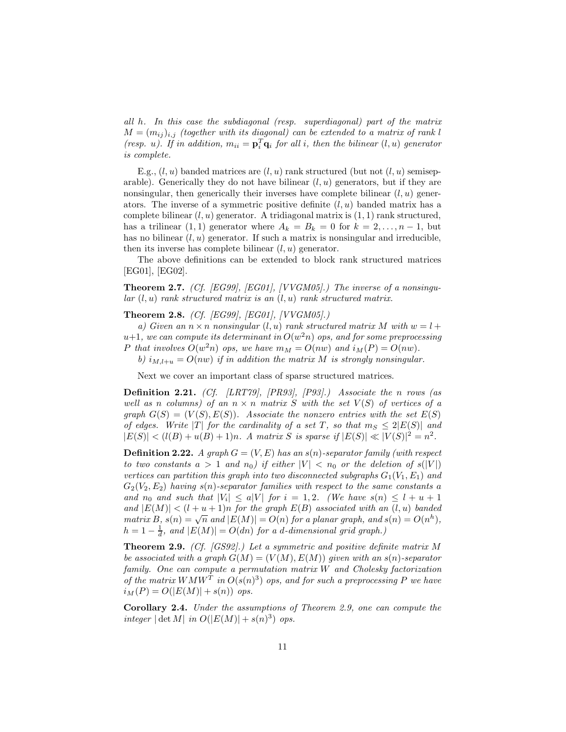*all* h*. In this case the subdiagonal (resp. superdiagonal) part of the matrix*  $M = (m_{ij})_{i,j}$  *(together with its diagonal) can be extended to a matrix of rank l (resp. u). If in addition,*  $m_{ii} = \mathbf{p}_i^T \mathbf{q}_i$  *for all i, then the bilinear*  $(l, u)$  *generator is complete.*

E.g.,  $(l, u)$  banded matrices are  $(l, u)$  rank structured (but not  $(l, u)$  semiseparable). Generically they do not have bilinear  $(l, u)$  generators, but if they are nonsingular, then generically their inverses have complete bilinear  $(l, u)$  generators. The inverse of a symmetric positive definite  $(l, u)$  banded matrix has a complete bilinear  $(l, u)$  generator. A tridiagonal matrix is  $(1, 1)$  rank structured, has a trilinear (1, 1) generator where  $A_k = B_k = 0$  for  $k = 2, \ldots, n-1$ , but has no bilinear  $(l, u)$  generator. If such a matrix is nonsingular and irreducible, then its inverse has complete bilinear  $(l, u)$  generator.

The above definitions can be extended to block rank structured matrices [EG01], [EG02].

**Theorem 2.7.** *(Cf. [EG99], [EG01], [VVGM05].) The inverse of a nonsingular* (l, u) *rank structured matrix is an* (l, u) *rank structured matrix.*

**Theorem 2.8.** *(Cf. [EG99], [EG01], [VVGM05].)*

*a)* Given an  $n \times n$  *nonsingular*  $(l, u)$  *rank structured matrix* M *with*  $w = l +$  $u+1$ *, we can compute its determinant in*  $O(w^2n)$  *ops, and for some preprocessing* P that involves  $O(w^2n)$  ops, we have  $m_M = O(nw)$  and  $i_M(P) = O(nw)$ .

*b)*  $i_{M,l+u} = O(nw)$  *if in addition the matrix M is strongly nonsingular.* 

Next we cover an important class of sparse structured matrices.

**Definition 2.21.** *(Cf. [LRT79], [PR93], [P93].) Associate the* n *rows (as well as n columns*) of an  $n \times n$  *matrix S with the set*  $V(S)$  *of vertices of a graph*  $G(S) = (V(S), E(S))$ *. Associate the nonzero entries with the set*  $E(S)$ *of edges.* Write |T| *for the cardinality of a set* T, so that  $m_S \leq 2|E(S)|$  and  $|E(S)| < (l(B) + u(B) + 1)n$ . A matrix S is sparse if  $|E(S)| \ll |V(S)|^2 = n^2$ .

**Definition 2.22.** *A graph*  $G = (V, E)$  *has an*  $s(n)$ *-separator family (with respect to two constants*  $a > 1$  *and*  $n_0$ *)* if either  $|V| < n_0$  *or the deletion of*  $s(|V|)$ *vertices can partition this graph into two disconnected subgraphs*  $G_1(V_1, E_1)$  *and*  $G_2(V_2, E_2)$  *having*  $s(n)$ -separator families with respect to the same constants a and  $n_0$  and such that  $|V_i| \leq a|V|$  for  $i = 1, 2$ . (We have  $s(n) \leq l + u + 1$ *and*  $|E(M)| < (l + u + 1)n$  *for the graph*  $E(B)$  *associated with an*  $(l, u)$  *banded matrix* B,  $s(n) = \sqrt{n}$  and  $|E(M)| = O(n)$  *for a planar graph, and*  $s(n) = O(n^h)$ *,*  $h = 1 - \frac{1}{d}$ , and  $|E(M)| = O(dn)$  for a d-dimensional grid graph.)

**Theorem 2.9.** *(Cf. [GS92].) Let a symmetric and positive definite matrix* M *be associated with a graph*  $G(M) = (V(M), E(M))$  *given with an*  $s(n)$ *-separator family. One can compute a permutation matrix* W *and Cholesky factorization of the matrix*  $W M W^{\hat{T}}$  *in*  $O(s(n)^3)$  *ops, and for such a preprocessing* P *we have*  $i_M(P) = O(|E(M)| + s(n))$  *ops.* 

**Corollary 2.4.** *Under the assumptions of Theorem 2.9, one can compute the integer*  $|\det M|$  *in*  $O(|E(M)| + s(n)^3)$  *ops.*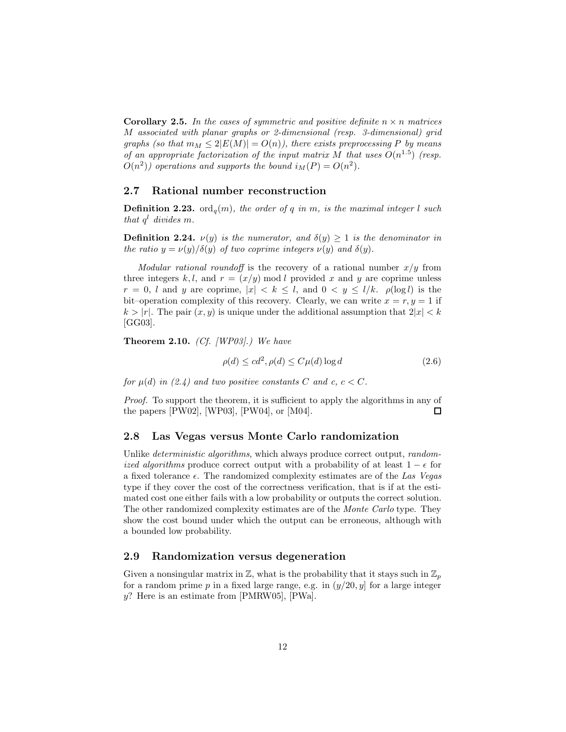**Corollary 2.5.** In the cases of symmetric and positive definite  $n \times n$  matrices M *associated with planar graphs or 2-dimensional (resp. 3-dimensional) grid graphs (so that*  $m_M \leq 2|E(M)| = O(n)$ ), there exists preprocessing P *by means of an appropriate factorization of the input matrix*  $M$  *that uses*  $O(n^{1.5})$  (resp.  $O(n^2)$  operations and supports the bound  $i_M(P) = O(n^2)$ .

#### **2.7 Rational number reconstruction**

**Definition 2.23.** ord<sub> $q$ </sub> (m), the order of q in m, is the maximal integer l such *that*  $q^l$  *divides* m.

**Definition 2.24.**  $\nu(y)$  *is the numerator, and*  $\delta(y) \geq 1$  *is the denominator in the ratio*  $y = \nu(y)/\delta(y)$  *of two coprime integers*  $\nu(y)$  *and*  $\delta(y)$ *.* 

*Modular rational roundoff* is the recovery of a rational number  $x/y$  from three integers k,l, and  $r = (x/y) \mod l$  provided x and y are coprime unless  $r = 0$ , l and y are coprime,  $|x| < k \leq l$ , and  $0 < y \leq l/k$ .  $\rho(\log l)$  is the bit–operation complexity of this recovery. Clearly, we can write  $x = r, y = 1$  if  $k > |r|$ . The pair  $(x, y)$  is unique under the additional assumption that  $2|x| < k$ [GG03].

**Theorem 2.10.** *(Cf. [WP03].) We have*

$$
\rho(d) \le cd^2, \rho(d) \le C\mu(d)\log d \tag{2.6}
$$

*for*  $\mu(d)$  *in* (2.4) and *two* positive constants C and c,  $c < C$ .

*Proof.* To support the theorem, it is sufficient to apply the algorithms in any of the papers [PW02], [WP03], [PW04], or [M04].  $\Box$ 

#### **2.8 Las Vegas versus Monte Carlo randomization**

Unlike *deterministic algorithms*, which always produce correct output, *randomized algorithms* produce correct output with a probability of at least  $1 - \epsilon$  for a fixed tolerance . The randomized complexity estimates are of the *Las Vegas* type if they cover the cost of the correctness verification, that is if at the estimated cost one either fails with a low probability or outputs the correct solution. The other randomized complexity estimates are of the *Monte Carlo* type. They show the cost bound under which the output can be erroneous, although with a bounded low probability.

#### **2.9 Randomization versus degeneration**

Given a nonsingular matrix in  $\mathbb{Z}$ , what is the probability that it stays such in  $\mathbb{Z}_p$ for a random prime p in a fixed large range, e.g. in  $(y/20, y]$  for a large integer y? Here is an estimate from [PMRW05], [PWa].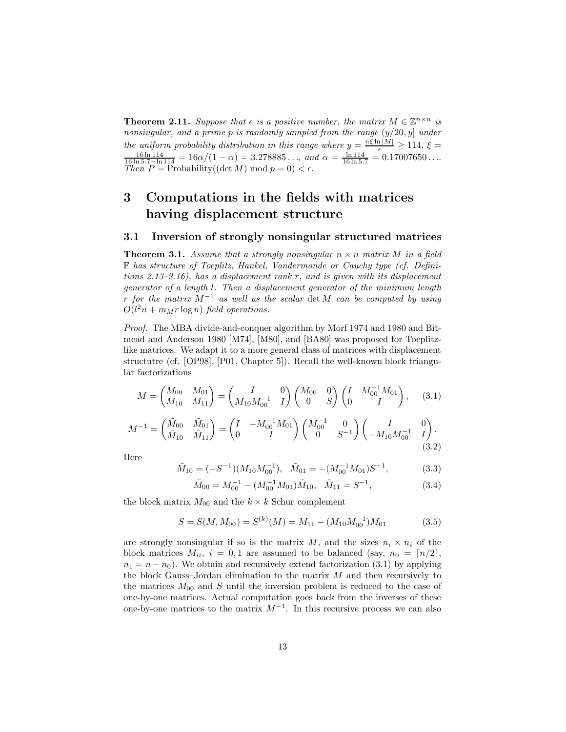**Theorem 2.11.** *Suppose that*  $\epsilon$  *is a positive number, the matrix*  $M \in \mathbb{Z}^{n \times n}$  *is nonsingular, and a prime* p *is randomly sampled from the range* (y/20, y] *under the uniform probability distribution in this range where*  $y = \frac{n\xi \ln|M|}{\epsilon} \ge 114$ ,  $\xi = \frac{16 \ln 114}{\epsilon} = -16 \alpha/(1-\alpha) = 3.278885$  and  $\alpha = \frac{\ln 114}{\epsilon} = 0.17007650$  $\frac{16 \ln 114}{16 \ln 5.7 - \ln 114} = 16 \alpha / (1 - \alpha) = 3.278885..., \text{ and } \alpha = \frac{\ln 114}{16 \ln 5.7} = 0.17007650...$ *Then*  $P = \text{Probability}((\det M) \mod p = 0) < \epsilon$ .

## **3 Computations in the fields with matrices having displacement structure**

#### **3.1 Inversion of strongly nonsingular structured matrices**

**Theorem 3.1.** *Assume that a strongly nonsingular*  $n \times n$  *matrix* M *in a field* F *has structure of Toeplitz, Hankel, Vandermonde or Cauchy type (cf. Definitions 2.13–2.16), has a displacement rank* r*, and is given with its displacement generator of a length* l*. Then a displacement generator of the minimum length* r *for the matrix* M−<sup>1</sup> *as well as the scalar* det M *can be computed by using*  $O(l^2n + m_M r \log n)$  field operations.

*Proof.* The MBA divide-and-conquer algorithm by Morf 1974 and 1980 and Bitmead and Anderson 1980 [M74], [M80], and [BA80] was proposed for Toeplitzlike matrices. We adapt it to a more general class of matrices with displacement structutre (cf. [OP98], [P01, Chapter 5]). Recall the well-known block triangular factorizations

$$
M = \begin{pmatrix} M_{00} & M_{01} \\ M_{10} & M_{11} \end{pmatrix} = \begin{pmatrix} I & 0 \\ M_{10} M_{00}^{-1} & I \end{pmatrix} \begin{pmatrix} M_{00} & 0 \\ 0 & S \end{pmatrix} \begin{pmatrix} I & M_{00}^{-1} M_{01} \\ 0 & I \end{pmatrix}, \quad (3.1)
$$

$$
M^{-1} = \begin{pmatrix} \tilde{M}_{00} & \tilde{M}_{01} \\ \tilde{M}_{10} & \tilde{M}_{11} \end{pmatrix} = \begin{pmatrix} I & -M_{00}^{-1} M_{01} \\ 0 & I \end{pmatrix} \begin{pmatrix} M_{00}^{-1} & 0 \\ 0 & S^{-1} \end{pmatrix} \begin{pmatrix} I & 0 \\ -M_{10} M_{00}^{-1} & I \end{pmatrix}.
$$
\n(3.2)

Here

$$
\tilde{M}_{10} = (-S^{-1})(M_{10}M_{00}^{-1}), \quad \tilde{M}_{01} = -(M_{00}^{-1}M_{01})S^{-1}, \tag{3.3}
$$

$$
\tilde{M}_{00} = M_{00}^{-1} - (M_{00}^{-1} M_{01}) \tilde{M}_{10}, \quad \tilde{M}_{11} = S^{-1}, \tag{3.4}
$$

the block matrix  $M_{00}$  and the  $k \times k$  Schur complement

$$
S = S(M, M_{00}) = S^{(k)}(M) = M_{11} - (M_{10}M_{00}^{-1})M_{01}
$$
\n(3.5)

are strongly nonsingular if so is the matrix M, and the sizes  $n_i \times n_i$  of the block matrices  $M_{ii}$ ,  $i = 0, 1$  are assumed to be balanced (say,  $n_0 = \lceil n/2 \rceil$ ,  $n_1 = n - n_0$ ). We obtain and recursively extend factorization (3.1) by applying the block Gauss–Jordan elimination to the matrix  $M$  and then recursively to the matrices  $M_{00}$  and S until the inversion problem is reduced to the case of one-by-one matrices. Actual computation goes back from the inverses of these one-by-one matrices to the matrix  $M^{-1}$ . In this recursive process we can also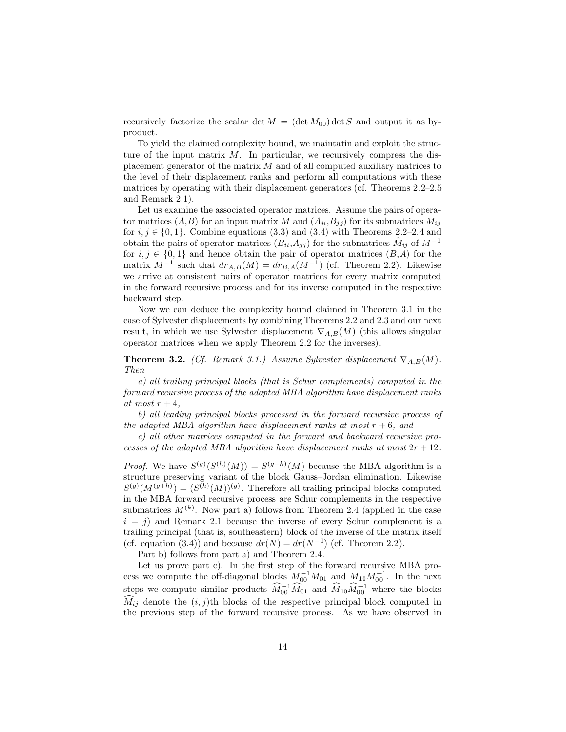recursively factorize the scalar det  $M = (\det M_{00}) \det S$  and output it as byproduct.

To yield the claimed complexity bound, we maintatin and exploit the structure of the input matrix  $M$ . In particular, we recursively compress the displacement generator of the matrix M and of all computed auxiliary matrices to the level of their displacement ranks and perform all computations with these matrices by operating with their displacement generators (cf. Theorems 2.2–2.5 and Remark 2.1).

Let us examine the associated operator matrices. Assume the pairs of operator matrices  $(A,B)$  for an input matrix M and  $(A_{ii},B_{jj})$  for its submatrices  $M_{ij}$ for  $i, j \in \{0, 1\}$ . Combine equations (3.3) and (3.4) with Theorems 2.2–2.4 and obtain the pairs of operator matrices  $(B_{ii}, A_{jj})$  for the submatrices  $M_{ij}$  of  $M^{-1}$ for  $i, j \in \{0, 1\}$  and hence obtain the pair of operator matrices  $(B, A)$  for the matrix  $M^{-1}$  such that  $dr_{A,B}(M) = dr_{B,A}(M^{-1})$  (cf. Theorem 2.2). Likewise we arrive at consistent pairs of operator matrices for every matrix computed in the forward recursive process and for its inverse computed in the respective backward step.

Now we can deduce the complexity bound claimed in Theorem 3.1 in the case of Sylvester displacements by combining Theorems 2.2 and 2.3 and our next result, in which we use Sylvester displacement  $\nabla_{A,B}(M)$  (this allows singular operator matrices when we apply Theorem 2.2 for the inverses).

**Theorem 3.2.** *(Cf. Remark 3.1.) Assume Sylvester displacement*  $\nabla_{A,B}(M)$ *. Then*

*a) all trailing principal blocks (that is Schur complements) computed in the forward recursive process of the adapted MBA algorithm have displacement ranks at most*  $r + 4$ *,* 

*b) all leading principal blocks processed in the forward recursive process of the adapted MBA algorithm have displacement ranks at most*  $r + 6$ *, and* 

*c) all other matrices computed in the forward and backward recursive processes of the adapted MBA algorithm have displacement ranks at most*  $2r + 12$ *.* 

*Proof.* We have  $S^{(g)}(S^{(h)}(M)) = S^{(g+h)}(M)$  because the MBA algorithm is a structure preserving variant of the block Gauss–Jordan elimination. Likewise  $S^{(g)}(M^{(g+h)})=(S^{(h)}(M))^{(g)}$ . Therefore all trailing principal blocks computed in the MBA forward recursive process are Schur complements in the respective submatrices  $M^{(k)}$ . Now part a) follows from Theorem 2.4 (applied in the case  $i = j$ ) and Remark 2.1 because the inverse of every Schur complement is a trailing principal (that is, southeastern) block of the inverse of the matrix itself (cf. equation (3.4)) and because  $dr(N) = dr(N^{-1})$  (cf. Theorem 2.2).

Part b) follows from part a) and Theorem 2.4.

Let us prove part c). In the first step of the forward recursive MBA process we compute the off-diagonal blocks  $M_{00}^{-1}M_{01}$  and  $M_{10}M_{00}^{-1}$ . In the next steps we compute similar products  $\widehat{M}_{00}^{-1}\widehat{M}_{01}$  and  $\widehat{M}_{10}\widehat{M}_{00}^{-1}$  where the blocks  $M_{ij}$  denote the  $(i, j)$ <sup>th</sup> blocks of the respective principal block computed in the previous step of the forward recursive process. As we have observed in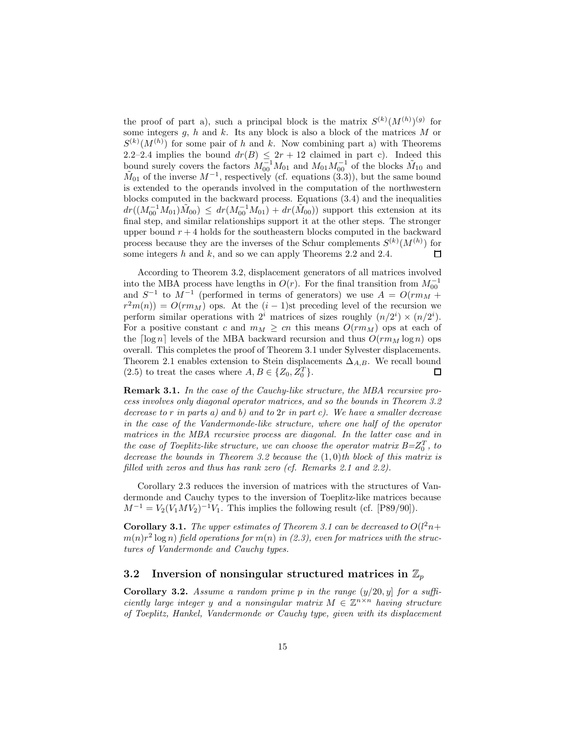the proof of part a), such a principal block is the matrix  $S^{(k)}(M^{(h)})^{(g)}$  for some integers  $g, h$  and  $k$ . Its any block is also a block of the matrices  $M$  or  $S^{(k)}(M^{(h)})$  for some pair of h and k. Now combining part a) with Theorems 2.2–2.4 implies the bound  $dr(B) \leq 2r + 12$  claimed in part c). Indeed this bound surely covers the factors  $M_{00}^{-1}M_{01}$  and  $M_{01}M_{00}^{-1}$  of the blocks  $\tilde{M}_{10}$  and  $\tilde{M}_{01}$  of the inverse  $M^{-1}$ , respectively (cf. equations (3.3)), but the same bound is extended to the operands involved in the computation of the northwestern blocks computed in the backward process. Equations (3.4) and the inequalities  $dr((M_{00}^{-1}M_{01})\tilde{M}_{00}) \le dr(M_{00}^{-1}M_{01}) + dr(\tilde{M}_{00}))$  support this extension at its final step, and similar relationships support it at the other steps. The stronger upper bound  $r + 4$  holds for the southeastern blocks computed in the backward process because they are the inverses of the Schur complements  $S^{(k)}(M^{(h)})$  for some integers  $h$  and  $k$ , and so we can apply Theorems 2.2 and 2.4.  $\Box$ 

According to Theorem 3.2, displacement generators of all matrices involved into the MBA process have lengths in  $O(r)$ . For the final transition from  $M_{00}^{-1}$ and  $S^{-1}$  to  $M^{-1}$  (performed in terms of generators) we use  $A = O(rm_M +$  $r^2m(n) = O(rm_M)$  ops. At the  $(i-1)$ st preceding level of the recursion we perform similar operations with  $2^i$  matrices of sizes roughly  $(n/2^i) \times (n/2^i)$ . For a positive constant c and  $m_M \geq cn$  this means  $O(r m_M)$  ops at each of the  $\lceil \log n \rceil$  levels of the MBA backward recursion and thus  $O(r m_M \log n)$  ops overall. This completes the proof of Theorem 3.1 under Sylvester displacements. Theorem 2.1 enables extension to Stein displacements  $\Delta_{A,B}$ . We recall bound (2.5) to treat the cases where  $A, B \in \{Z_0, Z_0^T\}.$  $\Box$ 

**Remark 3.1.** *In the case of the Cauchy-like structure, the MBA recursive process involves only diagonal operator matrices, and so the bounds in Theorem 3.2 decrease to* r *in parts a) and b) and to* 2r *in part c). We have a smaller decrease in the case of the Vandermonde-like structure, where one half of the operator matrices in the MBA recursive process are diagonal. In the latter case and in the case of Toeplitz-like structure, we can choose the operator matrix*  $B = Z_0^T$ *, to decrease the bounds in Theorem 3.2 because the* (1, 0)*th block of this matrix is filled with zeros and thus has rank zero (cf. Remarks 2.1 and 2.2).*

Corollary 2.3 reduces the inversion of matrices with the structures of Vandermonde and Cauchy types to the inversion of Toeplitz-like matrices because  $M^{-1} = V_2(V_1MV_2)^{-1}V_1$ . This implies the following result (cf. [P89/90]).

**Corollary 3.1.** The upper estimates of Theorem 3.1 can be decreased to  $O(l^2n+1)$  $m(n)r^2 \log n$  field operations for  $m(n)$  in (2.3), even for matrices with the struc*tures of Vandermonde and Cauchy types.*

### **3.2** Inversion of nonsingular structured matrices in  $\mathbb{Z}_p$

**Corollary 3.2.** *Assume a random prime p in the range*  $(y/20, y)$  *for a sufficiently large integer* y and a nonsingular matrix  $M \in \mathbb{Z}^{n \times n}$  *having structure of Toeplitz, Hankel, Vandermonde or Cauchy type, given with its displacement*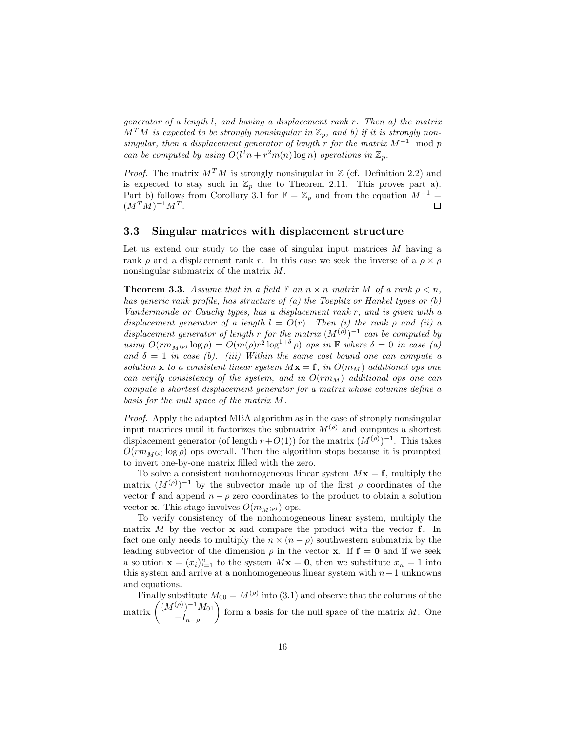*generator of a length* l*, and having a displacement rank* r*. Then a) the matrix*  $M<sup>T</sup>M$  is expected to be strongly nonsingular in  $\mathbb{Z}_p$ , and b) if it is strongly non*singular, then a displacement generator of length* r *for the matrix* M−<sup>1</sup> mod p *can be computed by using*  $O(l^2n + r^2m(n) \log n)$  *operations in*  $\mathbb{Z}_p$ *.* 

*Proof.* The matrix  $M^T M$  is strongly nonsingular in  $\mathbb{Z}$  (cf. Definition 2.2) and is expected to stay such in  $\mathbb{Z}_p$  due to Theorem 2.11. This proves part a). Part b) follows from Corollary 3.1 for  $\mathbb{F} = \mathbb{Z}_p$  and from the equation  $M^{-1} =$  $(M^TM)^{-1}M^T$ . П

#### **3.3 Singular matrices with displacement structure**

Let us extend our study to the case of singular input matrices M having a rank  $\rho$  and a displacement rank r. In this case we seek the inverse of a  $\rho \times \rho$ nonsingular submatrix of the matrix M.

**Theorem 3.3.** *Assume that in a field*  $\mathbb{F}$  *an*  $n \times n$  *matrix* M *of a rank*  $\rho \leq n$ *, has generic rank profile, has structure of (a) the Toeplitz or Hankel types or (b) Vandermonde or Cauchy types, has a displacement rank* r*, and is given with a*  $displacement$  generator of a length  $l = O(r)$ . Then (i) the rank  $\rho$  and (ii) a  $displacement generator of length r for the matrix (M<sup>(p)</sup>)<sup>-1</sup> can be computed by$ *using*  $O(r m_{M^{(\rho)}} \log \rho) = O(m(\rho) r^2 \log^{1+\delta} \rho)$  *ops in*  $\mathbb{F}$  *where*  $\delta = 0$  *in case* (*a*) and  $\delta = 1$  *in case (b). (iii) Within the same cost bound one can compute a solution* **x** *to a consistent linear system*  $M$ **x** = **f***, in*  $O(m_M)$  *additional ops one can verify consistency of the system, and in*  $O(rm_M)$  *additional ops one can compute a shortest displacement generator for a matrix whose columns define a basis for the null space of the matrix* M*.*

*Proof.* Apply the adapted MBA algorithm as in the case of strongly nonsingular input matrices until it factorizes the submatrix  $M^{(\rho)}$  and computes a shortest displacement generator (of length  $r+O(1)$ ) for the matrix  $(M^{(\rho)})^{-1}$ . This takes  $O(r m_{M^{(\rho)}} \log \rho)$  ops overall. Then the algorithm stops because it is prompted to invert one-by-one matrix filled with the zero.

To solve a consistent nonhomogeneous linear system  $Mx = f$ , multiply the matrix  $(M^{(\rho)})^{-1}$  by the subvector made up of the first  $\rho$  coordinates of the vector **f** and append  $n - \rho$  zero coordinates to the product to obtain a solution vector **x**. This stage involves  $O(m_{M(\rho)})$  ops.

To verify consistency of the nonhomogeneous linear system, multiply the matrix M by the vector **x** and compare the product with the vector **f**. In fact one only needs to multiply the  $n \times (n - \rho)$  southwestern submatrix by the leading subvector of the dimension  $\rho$  in the vector **x**. If  $f = 0$  and if we seek a solution  $\mathbf{x} = (x_i)_{i=1}^n$  to the system  $M\mathbf{x} = \mathbf{0}$ , then we substitute  $x_n = 1$  into this system and arrive at a nonhomogeneous linear system with  $n-1$  unknowns and equations.

Finally substitute  $M_{00} = M^{(\rho)}$  into (3.1) and observe that the columns of the matrix  $\left(\begin{array}{c} (M^{(\rho)})^{-1}M_{01} \end{array}\right)$  $-I_{n-\rho}$  $\sqrt{2}$ form a basis for the null space of the matrix M. One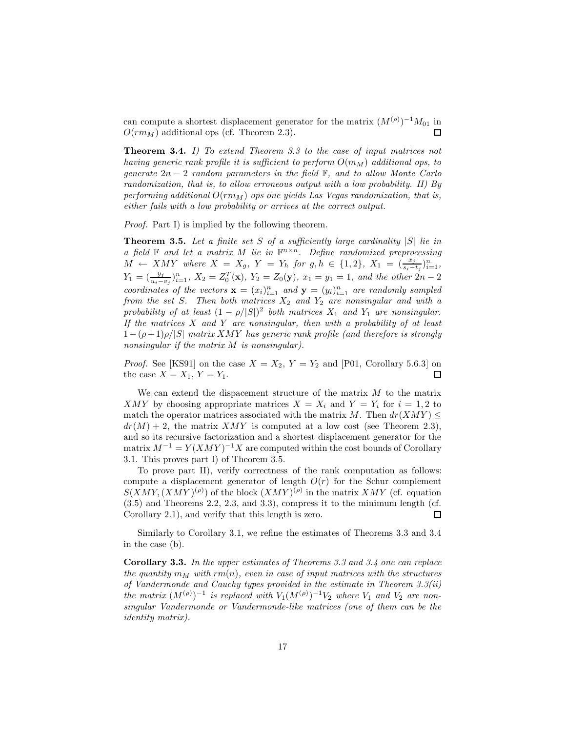can compute a shortest displacement generator for the matrix  $(M^{(\rho)})^{-1}M_{01}$  in  $O(r m_M)$  additional ops (cf. Theorem 2.3).

**Theorem 3.4.** *I) To extend Theorem 3.3 to the case of input matrices not having generic rank profile it is sufficient to perform*  $O(m_M)$  *additional ops, to generate* 2n − 2 *random parameters in the field* F*, and to allow Monte Carlo randomization, that is, to allow erroneous output with a low probability. II) By* performing additional  $O(r m_M)$  *ops one yields Las Vegas randomization, that is, either fails with a low probability or arrives at the correct output.*

*Proof.* Part I) is implied by the following theorem.

**Theorem 3.5.** *Let a finite set* S *of a sufficiently large cardinality* |S| *lie in a* field  $\mathbb F$  *and let a matrix* M *lie in*  $\mathbb F^{n \times n}$ *. Define randomized preprocessing*  $\overline{M} \leftarrow \overline{X} \overline{M} \overline{Y}$  where  $X = X_g$ ,  $Y = Y_h$  for  $g, h \in \{1, 2\}$ ,  $X_1 = (\frac{x_j}{s_i - t_j})_{i=1}^n$ ,  $Y_1 = (\frac{y_j}{u_i - v_j})_{i=1}^n$ ,  $X_2 = Z_0^T(\mathbf{x})$ ,  $Y_2 = Z_0(\mathbf{y})$ ,  $x_1 = y_1 = 1$ , and the other  $2n - 2$ *coordinates of the vectors*  $\mathbf{x} = (x_i)_{i=1}^n$  *and*  $\mathbf{y} = (y_i)_{i=1}^n$  *are randomly sampled from the set* S. Then both matrices  $X_2$  and  $Y_2$  are nonsingular and with a *probability of at least*  $(1 - \rho/|S|)^2$  *both matrices*  $X_1$  *and*  $Y_1$  *are nonsingular. If the matrices* X *and* Y *are nonsingular, then with a probability of at least* 1−(ρ+ 1)ρ/|S| *matrix* XMY *has generic rank profile (and therefore is strongly nonsingular if the matrix* M *is nonsingular).*

*Proof.* See [KS91] on the case  $X = X_2$ ,  $Y = Y_2$  and [P01, Corollary 5.6.3] on the case  $X = X_1, Y = Y_1$ .  $\Box$ 

We can extend the dispacement structure of the matrix  $M$  to the matrix XMY by choosing appropriate matrices  $X = X_i$  and  $Y = Y_i$  for  $i = 1, 2$  to match the operator matrices associated with the matrix M. Then  $dr(XMY) \leq$  $dr(M) + 2$ , the matrix XMY is computed at a low cost (see Theorem 2.3), and so its recursive factorization and a shortest displacement generator for the matrix  $M^{-1} = Y(XMY)^{-1}X$  are computed within the cost bounds of Corollary 3.1. This proves part I) of Theorem 3.5.

To prove part II), verify correctness of the rank computation as follows: compute a displacement generator of length  $O(r)$  for the Schur complement  $S(XMY, (XMY)^{(\rho)})$  of the block  $(XMY)^{(\rho)}$  in the matrix XMY (cf. equation (3.5) and Theorems 2.2, 2.3, and 3.3), compress it to the minimum length (cf. Corollary 2.1), and verify that this length is zero.  $\Box$ 

Similarly to Corollary 3.1, we refine the estimates of Theorems 3.3 and 3.4 in the case (b).

**Corollary 3.3.** *In the upper estimates of Theorems 3.3 and 3.4 one can replace the quantity*  $m_M$  *with*  $rm(n)$ *, even in case of input matrices with the structures of Vandermonde and Cauchy types provided in the estimate in Theorem 3.3(ii) the matrix*  $(M^{(\rho)})^{-1}$  *is replaced with*  $V_1(M^{(\rho)})^{-1}V_2$  *where*  $V_1$  *and*  $V_2$  *are nonsingular Vandermonde or Vandermonde-like matrices (one of them can be the identity matrix).*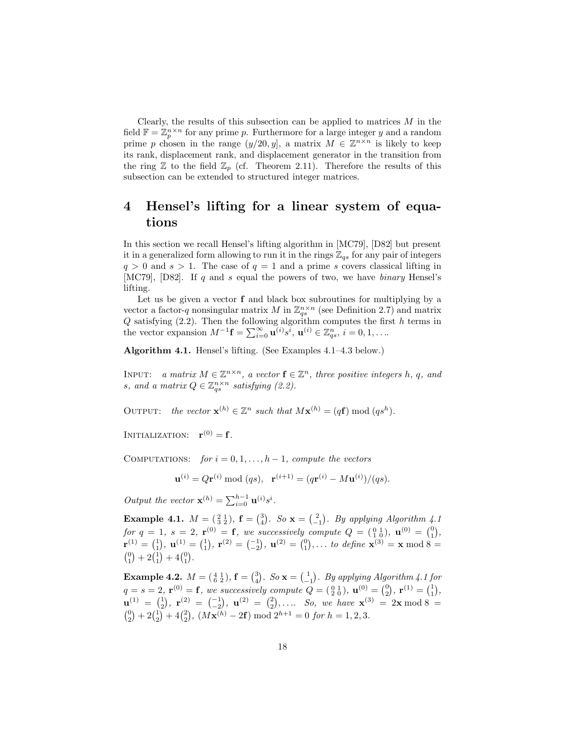Clearly, the results of this subsection can be applied to matrices  $M$  in the field  $\mathbb{F} = \mathbb{Z}_n^{n \times n}$  for any prime p. Furthermore for a large integer y and a random prime p chosen in the range  $(y/20, y]$ , a matrix  $M \in \mathbb{Z}^{n \times n}$  is likely to keep its rank, displacement rank, and displacement generator in the transition from the ring  $\mathbb Z$  to the field  $\mathbb Z_p$  (cf. Theorem 2.11). Therefore the results of this subsection can be extended to structured integer matrices.

## **4 Hensel's lifting for a linear system of equations**

In this section we recall Hensel's lifting algorithm in [MC79], [D82] but present it in a generalized form allowing to run it in the rings  $\mathbb{Z}_{qs}$  for any pair of integers  $q > 0$  and  $s > 1$ . The case of  $q = 1$  and a prime s covers classical lifting in [MC79], [D82]. If q and s equal the powers of two, we have *binary* Hensel's lifting.

Let us be given a vector **f** and black box subroutines for multiplying by a vector a factor-q nonsingular matrix M in  $\mathbb{Z}_{qs}^{n\times n}$  (see Definition 2.7) and matrix  $Q$  satisfying  $(2.2)$ . Then the following algorithm computes the first h terms in the vector expansion  $M^{-1}$ **f** =  $\sum_{i=0}^{\infty}$ **u**<sup>(i)</sup> $s^i$ , **u**<sup>(i)</sup>)  $\in \mathbb{Z}_{qs}^n$ ,  $i = 0, 1, \ldots$ 

**Algorithm 4.1.** Hensel's lifting. (See Examples 4.1–4.3 below.)

INPUT: *a matrix*  $M \in \mathbb{Z}^{n \times n}$ *, a vector*  $\mathbf{f} \in \mathbb{Z}^n$ *, three positive integers h, q, and s*, and a matrix  $Q \in \mathbb{Z}_{qs}^{n \times n}$  satisfying (2.2).

OUTPUT: *the vector*  $\mathbf{x}^{(h)} \in \mathbb{Z}^n$  *such that*  $M\mathbf{x}^{(h)} = (q\mathbf{f}) \bmod (q\mathbf{s}^h)$ .

INITIALIZATION:  $\mathbf{r}^{(0)} = \mathbf{f}$ *.* 

COMPUTATIONS: *for*  $i = 0, 1, \ldots, h-1$ , *compute the vectors* 

$$
\mathbf{u}^{(i)} = Q\mathbf{r}^{(i)} \bmod (qs), \quad \mathbf{r}^{(i+1)} = (q\mathbf{r}^{(i)} - M\mathbf{u}^{(i)})/(qs).
$$

*Output the vector*  $\mathbf{x}^{(h)} = \sum_{i=0}^{h-1} \mathbf{u}^{(i)} s^i$ .

**Example 4.1.**  $M = \begin{pmatrix} 2 & 1 \\ 3 & 2 \end{pmatrix}$ ,  $\mathbf{f} = \begin{pmatrix} 3 \\ 4 \end{pmatrix}$ . So  $\mathbf{x} = \begin{pmatrix} 2 \\ -1 \end{pmatrix}$ . By applying Algorithm 4.1  $\oint$  *for*  $q = 1, s = 2, \mathbf{r}^{(0)} = \mathbf{f}$ *, we successively compute*  $Q = \begin{pmatrix} 0 & 1 \\ 1 & 0 \end{pmatrix}$ *,*  $\mathbf{u}^{(0)} = \begin{pmatrix} 0 \\ 1 \end{pmatrix}$ *,*  $\mathbf{r}^{(1)} = \begin{pmatrix} 1 \\ 1 \end{pmatrix}, \mathbf{u}^{(1)} = \begin{pmatrix} 1 \\ 1 \end{pmatrix}, \mathbf{r}^{(2)} = \begin{pmatrix} -1 \\ -2 \end{pmatrix}, \mathbf{u}^{(2)} = \begin{pmatrix} 0 \\ 1 \end{pmatrix}, \dots$  *to define*  $\mathbf{x}^{(3)} = \mathbf{x} \mod 8 = 0$  ${0 \choose 1} + 2{1 \choose 1} + 4{0 \choose 1}.$ 

**Example 4.2.**  $M = \begin{pmatrix} 4 & 1 \\ 6 & 2 \end{pmatrix}$ ,  $f = \begin{pmatrix} 3 \\ 4 \end{pmatrix}$ . *So*  $\mathbf{x} = \begin{pmatrix} 1 \\ -1 \end{pmatrix}$ . *By applying Algorithm 4.1 for* **Example 4.2.**  $M = \begin{pmatrix} 6 & 2 \end{pmatrix}, 1 = \begin{pmatrix} 4 \end{pmatrix}$ .  $D \times - \begin{pmatrix} 1 \end{pmatrix}$ . By applying Algoritan 4.1 for  $q = s = 2$ ,  $\mathbf{r}^{(0)} = \mathbf{f}$ , we successively compute  $Q = \begin{pmatrix} 0 & 1 \ 2 & 0 \end{pmatrix}$ ,  $\mathbf{u}^{(0)} = \begin{pmatrix} 0 \ 2 \end{pmatrix}$  $\mathbf{u}^{(1)} = \begin{pmatrix} 1 \\ 2 \end{pmatrix}, \mathbf{r}^{(2)} = \begin{pmatrix} -1 \\ -2 \end{pmatrix}, \mathbf{u}^{(2)} = \begin{pmatrix} 2 \\ 2 \end{pmatrix}, \dots$  *So, we have*  $\mathbf{x}^{(3)} = 2\mathbf{x} \mod 8 = 0$  $\binom{0}{2} + 2\binom{1}{2} + 4\binom{2}{2}$ ,  $(M\mathbf{x}^{(h)} - 2\mathbf{f}) \bmod 2^{h+1} = 0$  *for*  $h = 1, 2, 3$ *.*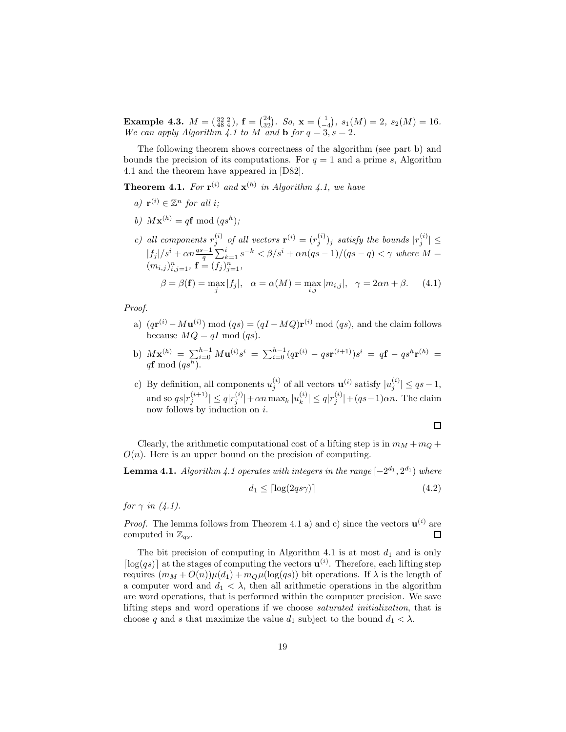**Example 4.3.**  $M = \begin{pmatrix} 32 & 2 \ 48 & 4 \end{pmatrix}$ ,  $\mathbf{f} = \begin{pmatrix} 24 \ 32 \end{pmatrix}$ . So,  $\mathbf{x} = \begin{pmatrix} 1 \ -4 \end{pmatrix}$ ,  $s_1(M) = 2$ ,  $s_2(M) = 16$ . *We can apply Algorithm 4.1 to*  $M$  *and* **b** *for*  $q = 3$ ,  $s = 2$ *.* 

The following theorem shows correctness of the algorithm (see part b) and bounds the precision of its computations. For  $q = 1$  and a prime s, Algorithm 4.1 and the theorem have appeared in [D82].

**Theorem 4.1.** For  $\mathbf{r}^{(i)}$  and  $\mathbf{x}^{(h)}$  in Algorithm 4.1, we have

- *a*)  $\mathbf{r}^{(i)} \in \mathbb{Z}^n$  *for all i*;
- *b*)  $M$ **x**<sup>(*h*)</sup> = q**f** mod (qs<sup>*h*</sup>);
- *c*) all components  $r_j^{(i)}$  of all vectors  $\mathbf{r}^{(i)} = (r_j^{(i)})_j$  satisfy the bounds  $|r_j^{(i)}| \leq$  $|f_j|/s^i + \alpha n \frac{qs-1}{q} \sum_{k=1}^i s^{-k} < \beta/s^i + \alpha n (qs-1)/(qs-q) < \gamma$  where  $M =$  $(m_{i,j})_{i,j=1}^n$ ,  $\mathbf{f} = (f_j)_{j=1}^n$ ,  $\beta = \beta(\mathbf{f}) = \max_j |f_j|, \quad \alpha = \alpha(M) = \max_{i,j} |m_{i,j}|, \quad \gamma = 2\alpha n + \beta.$  (4.1)

*Proof.*

- a)  $(q\mathbf{r}^{(i)} M\mathbf{u}^{(i)}) \bmod (qs) = (qI MQ)\mathbf{r}^{(i)} \bmod (qs)$ , and the claim follows because  $MQ = qI \text{ mod } (qs)$ .
- b)  $M\mathbf{x}^{(h)} = \sum_{i=0}^{h-1} M\mathbf{u}^{(i)} s^i = \sum_{i=0}^{h-1} (q\mathbf{r}^{(i)} q\mathbf{s}\mathbf{r}^{(i+1)}) s^i = q\mathbf{f} q\mathbf{s}^h\mathbf{r}^{(h)} =$  $q$ **f** mod  $(qs^h)$ .
- c) By definition, all components  $u_j^{(i)}$  of all vectors  $\mathbf{u}^{(i)}$  satisfy  $|u_j^{(i)}| \leq qs-1$ , and so  $qs|r_j^{(i+1)}| \leq q|r_j^{(i)}| + \alpha n \max_k |u_k^{(i)}| \leq q|r_j^{(i)}| + (qs-1)\alpha n$ . The claim now follows by induction on i.

 $\Box$ 

Clearly, the arithmetic computational cost of a lifting step is in  $m_M + m_Q +$  $O(n)$ . Here is an upper bound on the precision of computing.

**Lemma 4.1.** *Algorithm 4.1 operates with integers in the range*  $[-2^{d_1}, 2^{d_1})$  *where* 

$$
d_1 \le \lceil \log(2qs\gamma) \rceil \tag{4.2}
$$

*for*  $\gamma$  *in* (4.1).

*Proof.* The lemma follows from Theorem 4.1 a) and c) since the vectors  $\mathbf{u}^{(i)}$  are  $\Box$ computed in  $\mathbb{Z}_{qs}$ .

The bit precision of computing in Algorithm 4.1 is at most  $d_1$  and is only  $\lceil \log(qs) \rceil$  at the stages of computing the vectors  $\mathbf{u}^{(i)}$ . Therefore, each lifting step requires  $(m_M + O(n))\mu(d_1) + m_Q\mu(\log(qs))$  bit operations. If  $\lambda$  is the length of a computer word and  $d_1 < \lambda$ , then all arithmetic operations in the algorithm are word operations, that is performed within the computer precision. We save lifting steps and word operations if we choose *saturated initialization*, that is choose q and s that maximize the value  $d_1$  subject to the bound  $d_1 < \lambda$ .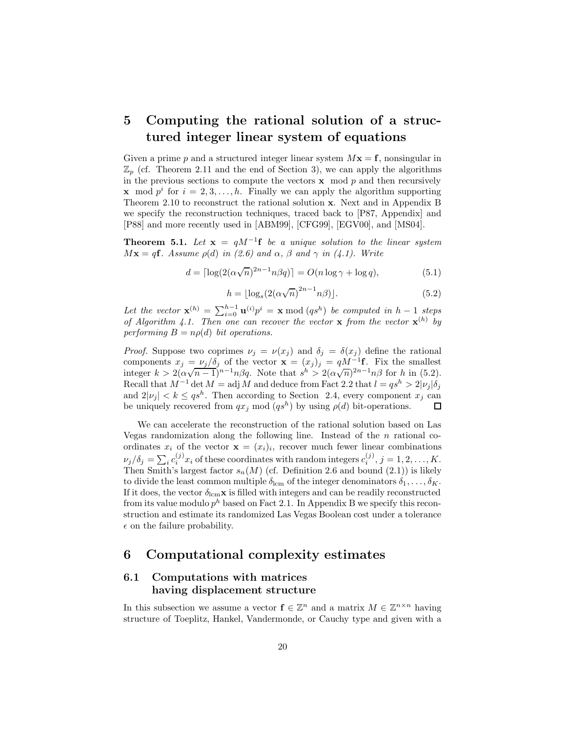## **5 Computing the rational solution of a structured integer linear system of equations**

Given a prime p and a structured integer linear system  $Mx = f$ , nonsingular in  $\mathbb{Z}_p$  (cf. Theorem 2.11 and the end of Section 3), we can apply the algorithms in the previous sections to compute the vectors  $x \mod p$  and then recursively **x** mod  $p^i$  for  $i = 2, 3, \ldots, h$ . Finally we can apply the algorithm supporting Theorem 2.10 to reconstruct the rational solution **x**. Next and in Appendix B we specify the reconstruction techniques, traced back to [P87, Appendix] and [P88] and more recently used in [ABM99], [CFG99], [EGV00], and [MS04].

**Theorem 5.1.** Let  $\mathbf{x} = qM^{-1}\mathbf{f}$  be a unique solution to the linear system  $M\mathbf{x} = q\mathbf{f}$ *. Assume*  $\rho(d)$  *in (2.6)* and  $\alpha$ ,  $\beta$  and  $\gamma$  *in (4.1). Write* 

$$
d = \lceil \log(2(\alpha \sqrt{n})^{2n-1} n \beta q) \rceil = O(n \log \gamma + \log q),\tag{5.1}
$$

$$
h = \lfloor \log_s \left( 2(\alpha \sqrt{n})^{2n-1} n \beta \right) \rfloor. \tag{5.2}
$$

Let the vector  $\mathbf{x}^{(h)} = \sum_{i=0}^{h-1} \mathbf{u}^{(i)} p^i = \mathbf{x} \bmod (qs^h)$  be computed in  $h-1$  steps *of Algorithm 4.1. Then one can recover the vector* **x** *from the vector*  $\mathbf{x}^{(h)}$  *by performing*  $B = n\rho(d)$  *bit operations.* 

*Proof.* Suppose two coprimes  $\nu_j = \nu(x_j)$  and  $\delta_j = \delta(x_j)$  define the rational components  $x_j = v_j/\delta_j$  of the vector  $\mathbf{x} = (x_j)_j = qM^{-1}\mathbf{f}$ . Fix the smallest components  $x_j = \nu_j / \nu_j$  of the vector  $\mathbf{x} = (x_j)_j = qM$  **1**. Fix the smallest integer  $k > 2(\alpha \sqrt{n-1})^{n-1} n \beta q$ . Note that  $s^h > 2(\alpha \sqrt{n})^{2n-1} n \beta$  for h in (5.2). Recall that  $M^{-1}$  det  $M = \text{adj } M$  and deduce from Fact 2.2 that  $l = qs^h > 2|\nu_i|\delta_i$ and  $2|\nu_i| < k \leq qs^h$ . Then according to Section 2.4, every component  $x_i$  can be uniquely recovered from  $qx_j \mod (qs^h)$  by using  $\rho(d)$  bit-operations.  $\Box$ 

We can accelerate the reconstruction of the rational solution based on Las Vegas randomization along the following line. Instead of the  $n$  rational coordinates  $x_i$  of the vector  $\mathbf{x} = (x_i)_i$ , recover much fewer linear combinations  $\nu_j/\delta_j = \sum_i c_i^{(j)} x_i$  of these coordinates with random integers  $c_i^{(j)}, j = 1, 2, \ldots, K$ . Then Smith's largest factor  $s_n(M)$  (cf. Definition 2.6 and bound (2.1)) is likely to divide the least common multiple  $\delta_{\text{lcm}}$  of the integer denominators  $\delta_1,\ldots,\delta_K$ . If it does, the vector  $\delta_{\text{lcm}}\mathbf{x}$  is filled with integers and can be readily reconstructed from its value modulo  $p^h$  based on Fact 2.1. In Appendix B we specify this reconstruction and estimate its randomized Las Vegas Boolean cost under a tolerance  $\epsilon$  on the failure probability.

## **6 Computational complexity estimates**

## **6.1 Computations with matrices having displacement structure**

In this subsection we assume a vector  $f \in \mathbb{Z}^n$  and a matrix  $M \in \mathbb{Z}^{n \times n}$  having structure of Toeplitz, Hankel, Vandermonde, or Cauchy type and given with a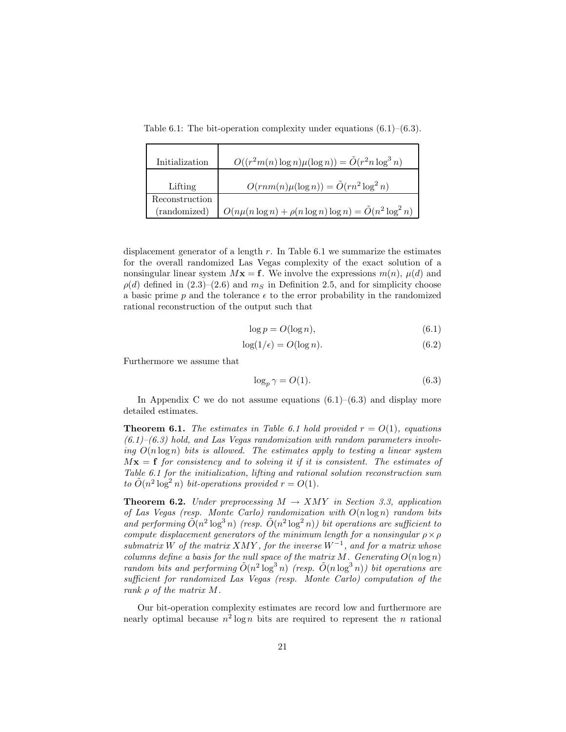Table 6.1: The bit-operation complexity under equations  $(6.1)$ – $(6.3)$ .

| Initialization | $O((r^2m(n)\log n)\mu(\log n)) = \tilde{O}(r^2n\log^3 n)$         |
|----------------|-------------------------------------------------------------------|
| Lifting        | $O(rnm(n)\mu(\log n)) = \tilde{O}(rn^2 \log^2 n)$                 |
| Reconstruction |                                                                   |
| (randomized)   | $O(n\mu(n\log n) + \rho(n\log n)\log n) = \tilde{O}(n^2\log^2 n)$ |

displacement generator of a length  $r$ . In Table 6.1 we summarize the estimates for the overall randomized Las Vegas complexity of the exact solution of a nonsingular linear system  $Mx = f$ . We involve the expressions  $m(n)$ ,  $\mu(d)$  and  $\rho(d)$  defined in (2.3)–(2.6) and  $m<sub>S</sub>$  in Definition 2.5, and for simplicity choose a basic prime p and the tolerance  $\epsilon$  to the error probability in the randomized rational reconstruction of the output such that

$$
\log p = O(\log n),\tag{6.1}
$$

$$
\log(1/\epsilon) = O(\log n). \tag{6.2}
$$

Furthermore we assume that

$$
\log_p \gamma = O(1). \tag{6.3}
$$

In Appendix C we do not assume equations  $(6.1)$ – $(6.3)$  and display more detailed estimates.

**Theorem 6.1.** *The estimates in Table 6.1 hold provided*  $r = O(1)$ *, equations (6.1)–(6.3) hold, and Las Vegas randomization with random parameters involving*  $O(n \log n)$  *bits is allowed. The estimates apply to testing a linear system*  $Mx = f$  *for consistency and to solving it if it is consistent. The estimates of Table 6.1 for the initialization, lifting and rational solution reconstruction sum* to  $\tilde{O}(n^2 \log^2 n)$  *bit-operations provided*  $r = O(1)$ *.* 

**Theorem 6.2.** *Under preprocessing*  $M \rightarrow XMY$  *in Section 3.3, application of Las Vegas (resp. Monte Carlo) randomization with* O(n log n) *random bits* and performing  $\tilde{O}(n^2 \log^3 n)$  (resp.  $\tilde{O}(n^2 \log^2 n)$ ) bit operations are sufficient to *compute displacement generators of the minimum length for a nonsingular*  $\rho \times \rho$ *submatrix* W *of the matrix* XMY *, for the inverse* W−<sup>1</sup>*, and for a matrix whose columns define a basis for the null space of the matrix* M. Generating  $O(n \log n)$ *random bits and performing*  $O(n^2 \log^3 n)$  *(resp.*  $O(n \log^3 n)$ *) bit operations are sufficient for randomized Las Vegas (resp. Monte Carlo) computation of the rank* ρ *of the matrix* M*.*

Our bit-operation complexity estimates are record low and furthermore are nearly optimal because  $n^2 \log n$  bits are required to represent the n rational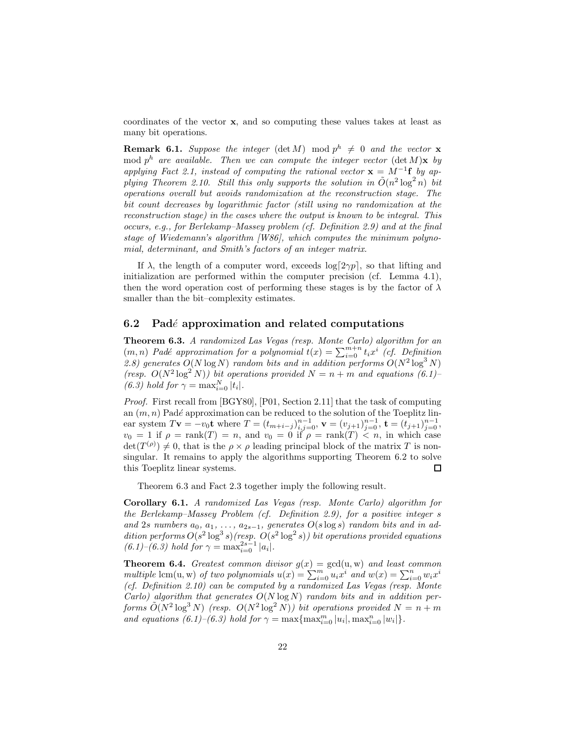coordinates of the vector **x**, and so computing these values takes at least as many bit operations.

**Remark 6.1.** *Suppose the integer* (det M) mod  $p^h \neq 0$  *and the vector* **x** mod  $p^h$  are available. Then we can compute the integer vector  $(\det M)\mathbf{x}$  by *applying Fact 2.1, instead of computing the rational vector*  $\mathbf{x} = M^{-1} \mathbf{f}$  *by applying Theorem 2.10. Still this only supports the solution in*  $O(n^2 \log^2 n)$  *bit operations overall but avoids randomization at the reconstruction stage. The bit count decreases by logarithmic factor (still using no randomization at the reconstruction stage) in the cases where the output is known to be integral. This occurs, e.g., for Berlekamp–Massey problem (cf. Definition 2.9) and at the final stage of Wiedemann's algorithm [W86], which computes the minimum polynomial, determinant, and Smith's factors of an integer matrix.*

If  $\lambda$ , the length of a computer word, exceeds  $\log(2\gamma p)$ , so that lifting and initialization are performed within the computer precision (cf. Lemma 4.1), then the word operation cost of performing these stages is by the factor of  $\lambda$ smaller than the bit–complexity estimates.

#### **6.2 Pad***e*´ **approximation and related computations**

**Theorem 6.3.** *A randomized Las Vegas (resp. Monte Carlo) algorithm for an*  $(m, n)$  *Padé approximation for a polynomial*  $t(x) = \sum_{i=0}^{m+n} t_i x^i$  *(cf. Definition*) 2.8) generates  $O(N \log N)$  *random bits and in addition performs*  $O(N^2 \log^3 N)$ *(resp.*  $O(N^2 \log^2 N)$ *) bit operations provided*  $N = n + m$  *and equations (6.1)– (6.3) hold for*  $\gamma = \max_{i=0}^{N} |t_i|$ .

*Proof.* First recall from [BGY80], [P01, Section 2.11] that the task of computing an  $(m, n)$  Padé approximation can be reduced to the solution of the Toeplitz linear system  $T\mathbf{v} = -v_0\mathbf{t}$  where  $T = (t_{m+i-j})_{i,j=0}^{n-1}$ ,  $\mathbf{v} = (v_{j+1})_{j=0}^{n-1}$ ,  $\mathbf{t} = (t_{j+1})_{j=0}^{n-1}$ ,  $v_0 = 1$  if  $\rho = \text{rank}(T) = n$ , and  $v_0 = 0$  if  $\rho = \text{rank}(T) < n$ , in which case  $\det(T^{(\rho)}) \neq 0$ , that is the  $\rho \times \rho$  leading principal block of the matrix T is nonsingular. It remains to apply the algorithms supporting Theorem 6.2 to solve this Toeplitz linear systems.  $\Box$ 

Theorem 6.3 and Fact 2.3 together imply the following result.

**Corollary 6.1.** *A randomized Las Vegas (resp. Monte Carlo) algorithm for the Berlekamp–Massey Problem (cf. Definition 2.9), for a positive integer* s and 2s numbers  $a_0, a_1, \ldots, a_{2s-1}$ , generates  $O(s \log s)$  random bits and in ad*dition performs*  $O(s^2 \log^3 s)$ *(resp.*  $O(s^2 \log^2 s)$ *) bit operations provided equations*  $(6.1)$ – $(6.3)$  *hold for*  $\gamma = \max_{i=0}^{2s-1} |a_i|$ *.* 

**Theorem 6.4.** *Greatest common divisor*  $g(x) = \gcd(u, w)$  *and least common multiple* lcm(u, w) *of two polynomials*  $u(x) = \sum_{i=0}^{m} u_i x^i$  *and*  $w(x) = \sum_{i=0}^{n} w_i x^i$ *(cf. Definition 2.10) can be computed by a randomized Las Vegas (resp. Monte Carlo) algorithm that generates* O(N log N) *random bits and in addition performs*  $\tilde{O}(N^2 \log^3 N)$  *(resp.*  $O(N^2 \log^2 N)$ *) bit operations provided*  $N = n + m$ *and equations (6.1)–(6.3) hold for*  $\gamma = \max\{\max_{i=0}^{m} |u_i|, \max_{i=0}^{n} |w_i|\}.$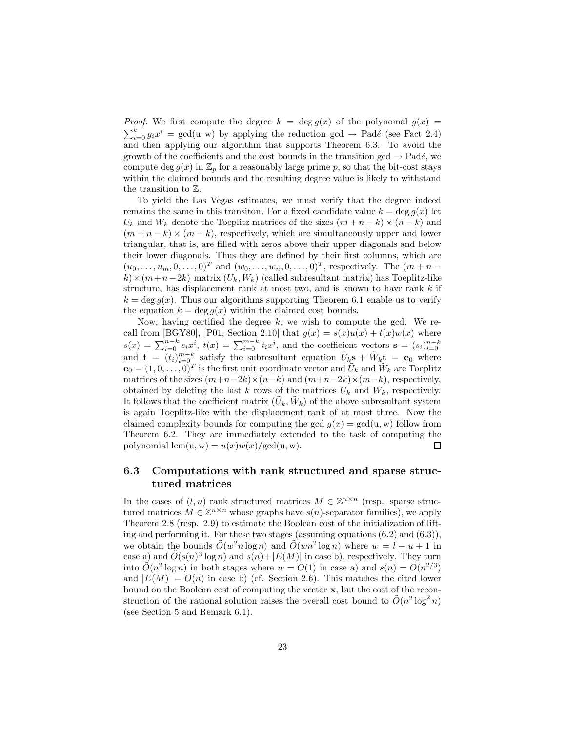*Proof.* We first compute the degree  $k = \deg g(x)$  of the polynomal  $g(x) =$  $\sum_{i=0}^{k} g_i x^i = \gcd(u, w)$  by applying the reduction  $\gcd \rightarrow$  Padé (see Fact 2.4) and then applying our algorithm that supports Theorem 6.3. To avoid the growth of the coefficients and the cost bounds in the transition gcd  $\rightarrow$  Padé, we compute deg  $g(x)$  in  $\mathbb{Z}_p$  for a reasonably large prime p, so that the bit-cost stays within the claimed bounds and the resulting degree value is likely to withstand the transition to Z.

To yield the Las Vegas estimates, we must verify that the degree indeed remains the same in this transition. For a fixed candidate value  $k = \deg g(x)$  let  $U_k$  and  $W_k$  denote the Toeplitz matrices of the sizes  $(m+n-k)\times(n-k)$  and  $(m + n - k) \times (m - k)$ , respectively, which are simultaneously upper and lower triangular, that is, are filled with zeros above their upper diagonals and below their lower diagonals. Thus they are defined by their first columns, which are  $(u_0,\ldots,u_m,0,\ldots,0)^T$  and  $(w_0,\ldots,w_n,0,\ldots,0)^T$ , respectively. The  $(m+n$  $k \times (m+n-2k)$  matrix  $(U_k, W_k)$  (called subresultant matrix) has Toeplitz-like structure, has displacement rank at most two, and is known to have rank  $k$  if  $k = \deg g(x)$ . Thus our algorithms supporting Theorem 6.1 enable us to verify the equation  $k = \deg q(x)$  within the claimed cost bounds.

Now, having certified the degree  $k$ , we wish to compute the gcd. We recall from [BGY80], [P01, Section 2.10] that  $g(x) = s(x)u(x) + t(x)w(x)$  where  $s(x) = \sum_{i=0}^{n-k} s_i x^i$ ,  $t(x) = \sum_{i=0}^{m-k} t_i x^i$ , and the coefficient vectors  $\mathbf{s} = (s_i)_{i=0}^{n-k}$  and  $\mathbf{t} = (t_i)_{i=0}^{m-k}$  satisfy the subresultant equation  $\tilde{U}_k \mathbf{s} + \tilde{W}_k \mathbf{t} = \mathbf{e}_0$  where  $\mathbf{e}_0 = (1, 0, \ldots, 0)^T$  is the first unit coordinate vector and  $\tilde{U}_k$  and  $\tilde{W}_k$  are Toeplitz matrices of the sizes  $(m+n-2k)\times(n-k)$  and  $(m+n-2k)\times(m-k)$ , respectively, obtained by deleting the last k rows of the matrices  $U_k$  and  $W_k$ , respectively. It follows that the coefficient matrix  $(\tilde{U}_k, \tilde{W}_k)$  of the above subresultant system is again Toeplitz-like with the displacement rank of at most three. Now the claimed complexity bounds for computing the gcd  $q(x) = \text{gcd}(u, w)$  follow from Theorem 6.2. They are immediately extended to the task of computing the polynomial  $lcm(u, w) = u(x)w(x)/gcd(u, w)$ . □

### **6.3 Computations with rank structured and sparse structured matrices**

In the cases of  $(l, u)$  rank structured matrices  $M \in \mathbb{Z}^{n \times n}$  (resp. sparse structured matrices  $M \in \mathbb{Z}^{n \times n}$  whose graphs have  $s(n)$ -separator families), we apply Theorem 2.8 (resp. 2.9) to estimate the Boolean cost of the initialization of lifting and performing it. For these two stages (assuming equations  $(6.2)$  and  $(6.3)$ ), we obtain the bounds  $\tilde{O}(w^2 n \log n)$  and  $\tilde{O}(w n^2 \log n)$  where  $w = l + u + 1$  in case a) and  $\tilde{O}(s(n)^3 \log n)$  and  $s(n)+|E(M)|$  in case b), respectively. They turn into  $\tilde{O}(n^2 \log n)$  in both stages where  $w = O(1)$  in case a) and  $s(n) = O(n^{2/3})$ and  $|E(M)| = O(n)$  in case b) (cf. Section 2.6). This matches the cited lower bound on the Boolean cost of computing the vector **x**, but the cost of the reconstruction of the rational solution raises the overall cost bound to  $\tilde{O}(n^2 \log^2 n)$ (see Section 5 and Remark 6.1).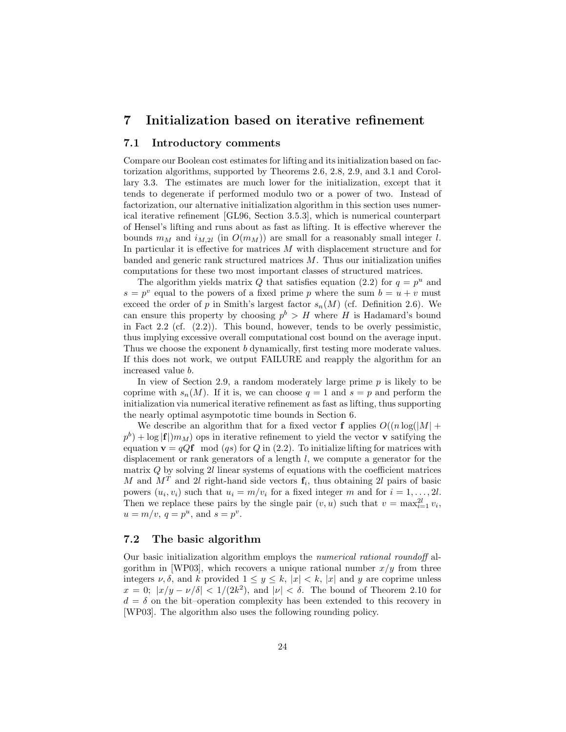## **7 Initialization based on iterative refinement**

#### **7.1 Introductory comments**

Compare our Boolean cost estimates for lifting and its initialization based on factorization algorithms, supported by Theorems 2.6, 2.8, 2.9, and 3.1 and Corollary 3.3. The estimates are much lower for the initialization, except that it tends to degenerate if performed modulo two or a power of two. Instead of factorization, our alternative initialization algorithm in this section uses numerical iterative refinement [GL96, Section 3.5.3], which is numerical counterpart of Hensel's lifting and runs about as fast as lifting. It is effective wherever the bounds  $m_M$  and  $i_{M,2l}$  (in  $O(m_M)$ ) are small for a reasonably small integer l. In particular it is effective for matrices  $M$  with displacement structure and for banded and generic rank structured matrices  $M$ . Thus our initialization unifies computations for these two most important classes of structured matrices.

The algorithm yields matrix Q that satisfies equation (2.2) for  $q = p^u$  and  $s = p^v$  equal to the powers of a fixed prime p where the sum  $b = u + v$  must exceed the order of p in Smith's largest factor  $s_n(M)$  (cf. Definition 2.6). We can ensure this property by choosing  $p^b > H$  where H is Hadamard's bound in Fact 2.2 (cf. (2.2)). This bound, however, tends to be overly pessimistic, thus implying excessive overall computational cost bound on the average input. Thus we choose the exponent b dynamically, first testing more moderate values. If this does not work, we output FAILURE and reapply the algorithm for an increased value b.

In view of Section 2.9, a random moderately large prime  $p$  is likely to be coprime with  $s_n(M)$ . If it is, we can choose  $q = 1$  and  $s = p$  and perform the initialization via numerical iterative refinement as fast as lifting, thus supporting the nearly optimal asympototic time bounds in Section 6.

We describe an algorithm that for a fixed vector **f** applies  $O((n \log(|M| +$  $p^b$  + log  $|f|$ ) $m_M$ ) ops in iterative refinement to yield the vector **v** satifying the equation  $\mathbf{v} = qQ\mathbf{f} \mod (q_s)$  for Q in (2.2). To initialize lifting for matrices with displacement or rank generators of a length l, we compute a generator for the matrix  $Q$  by solving  $2l$  linear systems of equations with the coefficient matrices M and  $M<sup>T</sup>$  and 2l right-hand side vectors  $f_i$ , thus obtaining 2l pairs of basic powers  $(u_i, v_i)$  such that  $u_i = m/v_i$  for a fixed integer m and for  $i = 1, \ldots, 2l$ . Then we replace these pairs by the single pair  $(v, u)$  such that  $v = \max_{i=1}^{2l} v_i$ ,  $u = m/v$ ,  $q = p^u$ , and  $s = p^v$ .

#### **7.2 The basic algorithm**

Our basic initialization algorithm employs the *numerical rational roundoff* algorithm in [WP03], which recovers a unique rational number  $x/y$  from three integers  $\nu, \delta$ , and k provided  $1 \leq y \leq k$ ,  $|x| < k$ ,  $|x|$  and y are coprime unless  $x = 0$ ;  $|x/y - \nu/\delta| < 1/(2k^2)$ , and  $|\nu| < \delta$ . The bound of Theorem 2.10 for  $d = \delta$  on the bit–operation complexity has been extended to this recovery in [WP03]. The algorithm also uses the following rounding policy.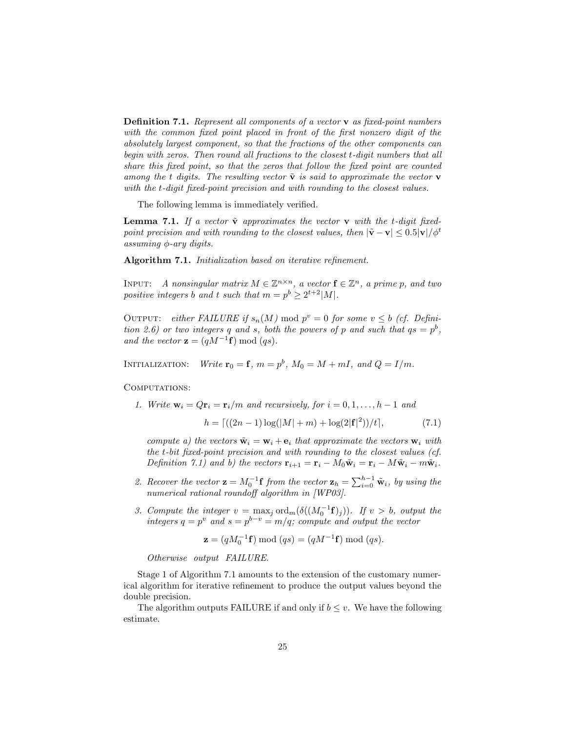**Definition 7.1.** *Represent all components of a vector* **v** *as fixed-point numbers with the common fixed point placed in front of the first nonzero digit of the absolutely largest component, so that the fractions of the other components can begin with zeros. Then round all fractions to the closest* t*-digit numbers that all share this fixed point, so that the zeros that follow the fixed point are counted* among the t digits. The resulting vector  $\tilde{\mathbf{v}}$  is said to approximate the vector **v** *with the* t*-digit fixed-point precision and with rounding to the closest values.*

The following lemma is immediately verified.

**Lemma 7.1.** If a vector  $\tilde{\mathbf{v}}$  approximates the vector  $\mathbf{v}$  with the t-digit fixed*point precision and with rounding to the closest values, then*  $|\tilde{\mathbf{v}} - \mathbf{v}| \leq 0.5 |\mathbf{v}|/\phi^t$ *assuming* φ*-ary digits.*

**Algorithm 7.1.** *Initialization based on iterative refinement.*

INPUT: *A nonsingular matrix*  $M \in \mathbb{Z}^{n \times n}$ , a vector  $f \in \mathbb{Z}^n$ , a prime p, and two *positive integers b and t such that*  $m = p^b \geq 2^{t+2}|M|$ *.* 

OUTPUT: *either FAILURE if*  $s_n(M) \mod p^v = 0$  for some  $v \leq b$  (cf. Defini*tion 2.6) or two integers* q and *s*, both the powers of p and such that  $qs = p^b$ , *and the vector*  $\mathbf{z} = (qM^{-1}\mathbf{f}) \bmod (qs)$ *.* 

INITIALIZATION: *Write*  $\mathbf{r}_0 = \mathbf{f}$ *,*  $m = p^b$ *,*  $M_0 = M + mI$ *, and*  $Q = I/m$ *.* 

COMPUTATIONS:

*1. Write*  $\mathbf{w}_i = Q\mathbf{r}_i = \mathbf{r}_i/m$  *and recursively, for*  $i = 0, 1, \ldots, h-1$  *and* 

$$
h = \left[ \left( (2n - 1) \log(|M| + m) + \log(2|\mathbf{f}|^2) \right) / t \right],\tag{7.1}
$$

*compute a) the vectors*  $\tilde{\mathbf{w}}_i = \mathbf{w}_i + \mathbf{e}_i$  that approximate the vectors  $\mathbf{w}_i$  with *the* t*-bit fixed-point precision and with rounding to the closest values (cf. Definition 7.1)* and b) the vectors  $\mathbf{r}_{i+1} = \mathbf{r}_i - M_0 \tilde{\mathbf{w}}_i = \mathbf{r}_i - M \tilde{\mathbf{w}}_i - m \tilde{\mathbf{w}}_i$ .

- 2. Recover the vector  $\mathbf{z} = M_0^{-1} \mathbf{f}$  from the vector  $\mathbf{z}_h = \sum_{i=0}^{h-1} \tilde{\mathbf{w}}_i$ , by using the *numerical rational roundoff algorithm in [WP03].*
- *3. Compute the integer*  $v = \max_j \text{ord}_m(\delta((M_0^{-1}f)_j))$ *. If*  $v > b$ *, output the integers*  $q = p^v$  *and*  $s = p^{b-v} = m/q$ *; compute and output the vector*

$$
\mathbf{z} = (qM_0^{-1}\mathbf{f}) \bmod (qs) = (qM^{-1}\mathbf{f}) \bmod (qs).
$$

*Otherwise output FAILURE.*

Stage 1 of Algorithm 7.1 amounts to the extension of the customary numerical algorithm for iterative refinement to produce the output values beyond the double precision.

The algorithm outputs FAILURE if and only if  $b \leq v$ . We have the following estimate.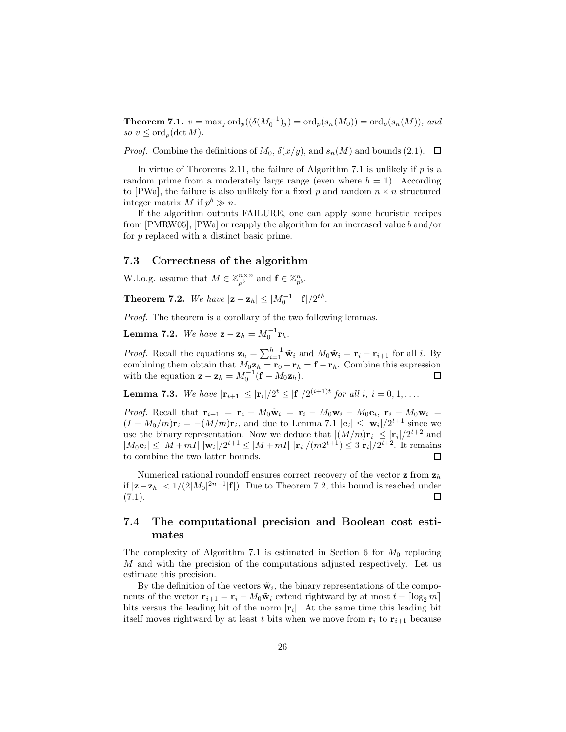**Theorem 7.1.**  $v = \max_j \text{ord}_p((\delta(M_0^{-1})_j) = \text{ord}_p(s_n(M_0)) = \text{ord}_p(s_n(M)),$  and *so*  $v \leq \text{ord}_p(\det M)$ .

*Proof.* Combine the definitions of  $M_0$ ,  $\delta(x/y)$ , and  $s_n(M)$  and bounds (2.1).  $\Box$ 

In virtue of Theorems 2.11, the failure of Algorithm 7.1 is unlikely if  $p$  is a random prime from a moderately large range (even where  $b = 1$ ). According to [PWa], the failure is also unlikely for a fixed p and random  $n \times n$  structured integer matrix M if  $p^b \gg n$ .

If the algorithm outputs FAILURE, one can apply some heuristic recipes from [PMRW05], [PWa] or reapply the algorithm for an increased value b and/or for p replaced with a distinct basic prime.

#### **7.3 Correctness of the algorithm**

W.l.o.g. assume that  $M \in \mathbb{Z}_{p^b}^{n \times n}$  and  $\mathbf{f} \in \mathbb{Z}_{p^b}^n$ .

**Theorem 7.2.** *We have*  $|\mathbf{z} - \mathbf{z}_h| \leq |M_0^{-1}| |\mathbf{f}|/2^{th}$ *.* 

*Proof.* The theorem is a corollary of the two following lemmas.

**Lemma 7.2.** *We have*  $z - z_h = M_0^{-1}r_h$ .

*Proof.* Recall the equations  $\mathbf{z}_h = \sum_{i=1}^{h-1} \tilde{\mathbf{w}}_i$  and  $M_0 \tilde{\mathbf{w}}_i = \mathbf{r}_i - \mathbf{r}_{i+1}$  for all i. By combining them obtain that  $M_0 \mathbf{z}_h = \mathbf{r}_0 - \mathbf{r}_h = \mathbf{f} - \mathbf{r}_h$ . Combine this expression with the equation  $\mathbf{z} - \mathbf{z}_h = M_0^{-1}(\mathbf{f} - M_0 \mathbf{z}_h)$ .  $\Box$ 

**Lemma 7.3.** *We have*  $|\mathbf{r}_{i+1}| \leq |\mathbf{r}_i|/2^t \leq |\mathbf{f}|/2^{(i+1)t}$  *for all i*, *i* = 0, 1, ...

*Proof.* Recall that  $\mathbf{r}_{i+1} = \mathbf{r}_i - M_0 \tilde{\mathbf{w}}_i = \mathbf{r}_i - M_0 \mathbf{w}_i - M_0 \mathbf{e}_i$ ,  $\mathbf{r}_i - M_0 \mathbf{w}_i =$  $(I - M_0/m)\mathbf{r}_i = -(M/m)\mathbf{r}_i$ , and due to Lemma 7.1  $|\mathbf{e}_i| \leq |\mathbf{w}_i|/2^{t+1}$  since we use the binary representation. Now we deduce that  $|(M/m)\mathbf{r}_i| \leq |\mathbf{r}_i|/2^{t+2}$  and  $|M_0\mathbf{e}_i|\leq |M+mI| |\mathbf{w}_i|/2^{t+1}\leq |M+mI| |\mathbf{r}_i|/(m2^{t+1})\leq 3|\mathbf{r}_i|/2^{t+2}$ . It remains to combine the two latter bounds.  $\Box$ 

Numerical rational roundoff ensures correct recovery of the vector **z** from **z**<sup>h</sup> if  $|\mathbf{z} - \mathbf{z}_h|$  < 1/(2|M<sub>0</sub>|<sup>2n−1</sup>|**f**|). Due to Theorem 7.2, this bound is reached under  $(7.1).$ □

### **7.4 The computational precision and Boolean cost estimates**

The complexity of Algorithm 7.1 is estimated in Section 6 for  $M_0$  replacing  $M$  and with the precision of the computations adjusted respectively. Let us estimate this precision.

By the definition of the vectors  $\tilde{\mathbf{w}}_i$ , the binary representations of the components of the vector  $\mathbf{r}_{i+1} = \mathbf{r}_i - M_0 \tilde{\mathbf{w}}_i$  extend rightward by at most  $t + \lceil \log_2 m \rceil$ bits versus the leading bit of the norm  $|\mathbf{r}_i|$ . At the same time this leading bit itself moves rightward by at least t bits when we move from  $\mathbf{r}_i$  to  $\mathbf{r}_{i+1}$  because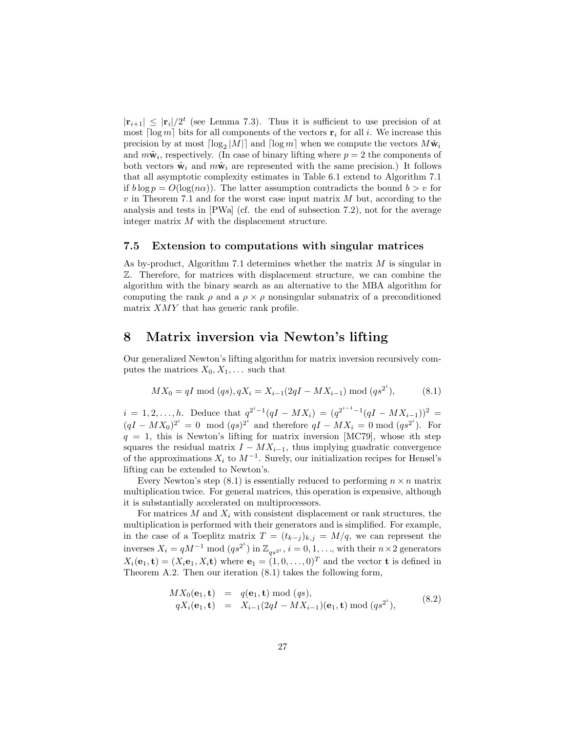$|\mathbf{r}_{i+1}| \leq |\mathbf{r}_i|/2^t$  (see Lemma 7.3). Thus it is sufficient to use precision of at most  $\lceil \log m \rceil$  bits for all components of the vectors  $\mathbf{r}_i$  for all i. We increase this precision by at most  $\lceil \log_2|M| \rceil$  and  $\lceil \log m \rceil$  when we compute the vectors  $M\tilde{w}_i$ and  $m\tilde{\mathbf{w}}_i$ , respectively. (In case of binary lifting where  $p = 2$  the components of both vectors  $\tilde{\mathbf{w}}_i$  and  $m\tilde{\mathbf{w}}_i$  are represented with the same precision.) It follows that all asymptotic complexity estimates in Table 6.1 extend to Algorithm 7.1 if  $b \log p = O(\log(n\alpha))$ . The latter assumption contradicts the bound  $b > v$  for  $v$  in Theorem 7.1 and for the worst case input matrix  $M$  but, according to the analysis and tests in [PWa] (cf. the end of subsection 7.2), not for the average integer matrix M with the displacement structure.

#### **7.5 Extension to computations with singular matrices**

As by-product, Algorithm 7.1 determines whether the matrix  $M$  is singular in Z. Therefore, for matrices with displacement structure, we can combine the algorithm with the binary search as an alternative to the MBA algorithm for computing the rank  $\rho$  and a  $\rho \times \rho$  nonsingular submatrix of a preconditioned matrix XMY that has generic rank profile.

## **8 Matrix inversion via Newton's lifting**

Our generalized Newton's lifting algorithm for matrix inversion recursively computes the matrices  $X_0, X_1, \ldots$  such that

$$
MX_0 = qI \mod (qs), qX_i = X_{i-1}(2qI - MX_{i-1}) \mod (qs^{2^i}),
$$
 (8.1)

 $i = 1, 2, \ldots, h$ . Deduce that  $q^{2^i-1}(qI - MX_i) = (q^{2^{i-1}-1}(qI - MX_{i-1}))^2 =$  $(qI - MX_0)^{2^i} = 0 \mod (qs)^{2^i}$  and therefore  $qI - MX_i = 0 \mod (qs^{2^i})$ . For q = 1, this is Newton's lifting for matrix inversion [MC79], whose *i*th step squares the residual matrix  $I - MX_{i-1}$ , thus implying guadratic convergence of the approximations  $X_i$  to  $M^{-1}$ . Surely, our initialization recipes for Hensel's lifting can be extended to Newton's.

Every Newton's step  $(8.1)$  is essentially reduced to performing  $n \times n$  matrix multiplication twice. For general matrices, this operation is expensive, although it is substantially accelerated on multiprocessors.

For matrices  $M$  and  $X_i$  with consistent displacement or rank structures, the multiplication is performed with their generators and is simplified. For example, in the case of a Toeplitz matrix  $T = (t_{k-j})_{k,j} = M/q$ , we can represent the inverses  $X_i = qM^{-1} \mod (qs^{2^i})$  in  $\mathbb{Z}_{qs^{2^i}}$ ,  $i = 0, 1, \ldots$ , with their  $n \times 2$  generators  $X_i(\mathbf{e}_1, \mathbf{t})=(X_i\mathbf{e}_1, X_i\mathbf{t})$  where  $\mathbf{e}_1=(1,0,\ldots,0)^T$  and the vector **t** is defined in Theorem A.2. Then our iteration (8.1) takes the following form,

$$
MX_0(e_1, t) = q(e_1, t) \mod (qs),
$$
  
\n
$$
qX_i(e_1, t) = X_{i-1}(2qI - MX_{i-1})(e_1, t) \mod (qs^{2^i}),
$$
\n(8.2)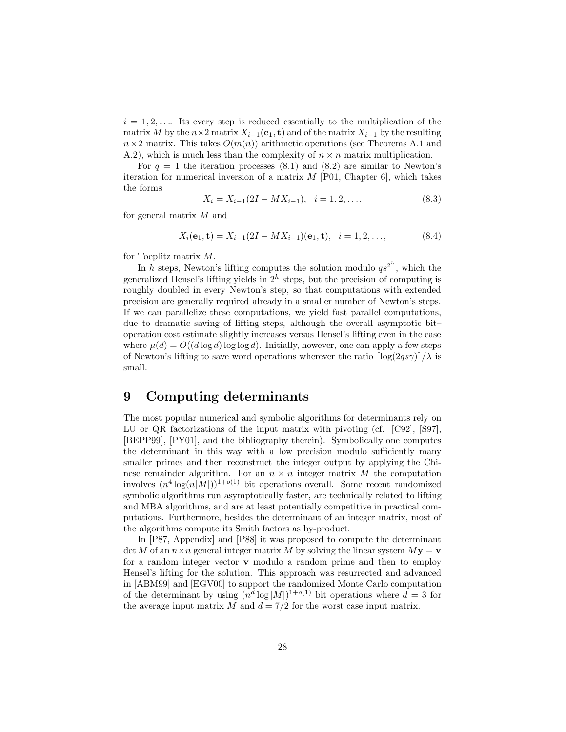$i = 1, 2, \ldots$  Its every step is reduced essentially to the multiplication of the matrix M by the  $n \times 2$  matrix  $X_{i-1}(\mathbf{e}_1, \mathbf{t})$  and of the matrix  $X_{i-1}$  by the resulting  $n \times 2$  matrix. This takes  $O(m(n))$  arithmetic operations (see Theorems A.1 and A.2), which is much less than the complexity of  $n \times n$  matrix multiplication.

For  $q = 1$  the iteration processes (8.1) and (8.2) are similar to Newton's iteration for numerical inversion of a matrix  $M$  [P01, Chapter 6], which takes the forms

$$
X_i = X_{i-1}(2I - MX_{i-1}), \quad i = 1, 2, \dots,
$$
\n(8.3)

for general matrix M and

$$
X_i(\mathbf{e}_1, \mathbf{t}) = X_{i-1}(2I - MX_{i-1})(\mathbf{e}_1, \mathbf{t}), \quad i = 1, 2, \dots,
$$
 (8.4)

for Toeplitz matrix M.

In h steps, Newton's lifting computes the solution modulo  $qs^{2^n}$ , which the generalized Hensel's lifting yields in  $2<sup>h</sup>$  steps, but the precision of computing is roughly doubled in every Newton's step, so that computations with extended precision are generally required already in a smaller number of Newton's steps. If we can parallelize these computations, we yield fast parallel computations, due to dramatic saving of lifting steps, although the overall asymptotic bit– operation cost estimate slightly increases versus Hensel's lifting even in the case where  $\mu(d) = O((d \log d) \log \log d)$ . Initially, however, one can apply a few steps of Newton's lifting to save word operations wherever the ratio  $\lceil \log(2qs\gamma)\rceil/\lambda$  is small.

## **9 Computing determinants**

The most popular numerical and symbolic algorithms for determinants rely on LU or QR factorizations of the input matrix with pivoting (cf. [C92], [S97], [BEPP99], [PY01], and the bibliography therein). Symbolically one computes the determinant in this way with a low precision modulo sufficiently many smaller primes and then reconstruct the integer output by applying the Chinese remainder algorithm. For an  $n \times n$  integer matrix M the computation involves  $(n^4 \log(n|M|))^{1+o(1)}$  bit operations overall. Some recent randomized symbolic algorithms run asymptotically faster, are technically related to lifting and MBA algorithms, and are at least potentially competitive in practical computations. Furthermore, besides the determinant of an integer matrix, most of the algorithms compute its Smith factors as by-product.

In [P87, Appendix] and [P88] it was proposed to compute the determinant det M of an  $n \times n$  general integer matrix M by solving the linear system  $M$ **y** = **v** for a random integer vector **v** modulo a random prime and then to employ Hensel's lifting for the solution. This approach was resurrected and advanced in [ABM99] and [EGV00] to support the randomized Monte Carlo computation of the determinant by using  $(n^{\bar{d}} \log|M|)^{1+o(1)}$  bit operations where  $d=3$  for the average input matrix M and  $d = 7/2$  for the worst case input matrix.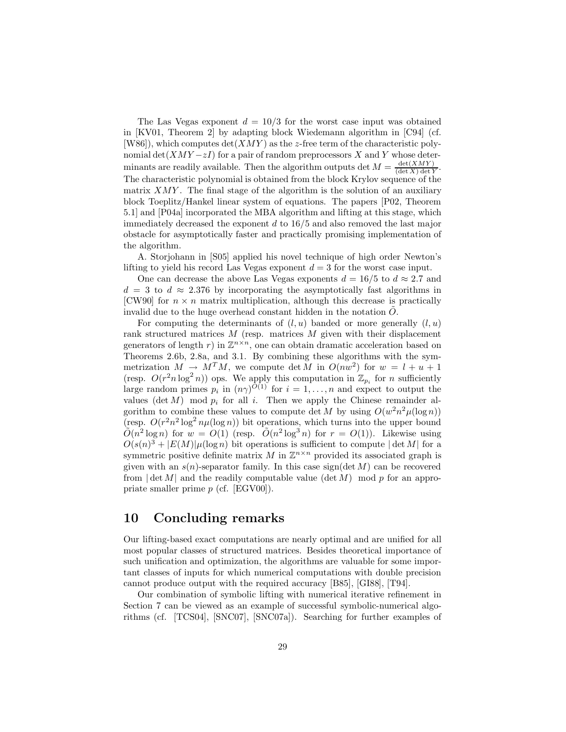The Las Vegas exponent  $d = 10/3$  for the worst case input was obtained in [KV01, Theorem 2] by adapting block Wiedemann algorithm in [C94] (cf.  $[W86]$ , which computes  $\det(XMY)$  as the z-free term of the characteristic polynomial det( $XMY-zI$ ) for a pair of random preprocessors X and Y whose determinants are readily available. Then the algorithm outputs det  $M = \frac{\det(XMY)}{(\det X) \det Y}$ . The characteristic polynomial is obtained from the block Krylov sequence of the matrix  $XMY$ . The final stage of the algorithm is the solution of an auxiliary block Toeplitz/Hankel linear system of equations. The papers [P02, Theorem 5.1] and [P04a] incorporated the MBA algorithm and lifting at this stage, which immediately decreased the exponent  $d$  to  $16/5$  and also removed the last major obstacle for asymptotically faster and practically promising implementation of the algorithm.

A. Storjohann in [S05] applied his novel technique of high order Newton's lifting to yield his record Las Vegas exponent  $d = 3$  for the worst case input.

One can decrease the above Las Vegas exponents  $d = 16/5$  to  $d \approx 2.7$  and  $d = 3$  to  $d \approx 2.376$  by incorporating the asymptotically fast algorithms in [CW90] for  $n \times n$  matrix multiplication, although this decrease is practically invalid due to the huge overhead constant hidden in the notation  $O$ .

For computing the determinants of  $(l, u)$  banded or more generally  $(l, u)$ rank structured matrices  $M$  (resp. matrices  $M$  given with their displacement generators of length r) in  $\mathbb{Z}^{n \times n}$ , one can obtain dramatic acceleration based on Theorems 2.6b, 2.8a, and 3.1. By combining these algorithms with the symmetrization  $M \to M^T M$ , we compute det M in  $O(nw^2)$  for  $w = l + u + 1$ (resp.  $O(r^2 n \log^2 n)$ ) ops. We apply this computation in  $\mathbb{Z}_{p_i}$  for *n* sufficiently large random primes  $p_i$  in  $(n\gamma)^{O(1)}$  for  $i = 1, ..., n$  and expect to output the values (det  $M$ ) mod  $p_i$  for all i. Then we apply the Chinese remainder algorithm to combine these values to compute det M by using  $O(w^2n^2\mu(\log n))$ (resp.  $O(r^2n^2\log^2 n\mu(\log n))$  bit operations, which turns into the upper bound  $\tilde{O}(n^2 \log n)$  for  $w = O(1)$  (resp.  $\tilde{O}(n^2 \log^3 n)$  for  $r = O(1)$ ). Likewise using  $O(s(n)^3 + |E(M)| \mu(\log n)$  bit operations is sufficient to compute  $|\det M|$  for a symmetric positive definite matrix M in  $\mathbb{Z}^{n \times n}$  provided its associated graph is given with an  $s(n)$ -separator family. In this case sign(det M) can be recovered from  $|\det M|$  and the readily computable value  $(\det M)$  mod p for an appropriate smaller prime p (cf. [EGV00]).

## **10 Concluding remarks**

Our lifting-based exact computations are nearly optimal and are unified for all most popular classes of structured matrices. Besides theoretical importance of such unification and optimization, the algorithms are valuable for some important classes of inputs for which numerical computations with double precision cannot produce output with the required accuracy [B85], [GI88], [T94].

Our combination of symbolic lifting with numerical iterative refinement in Section 7 can be viewed as an example of successful symbolic-numerical algorithms (cf. [TCS04], [SNC07], [SNC07a]). Searching for further examples of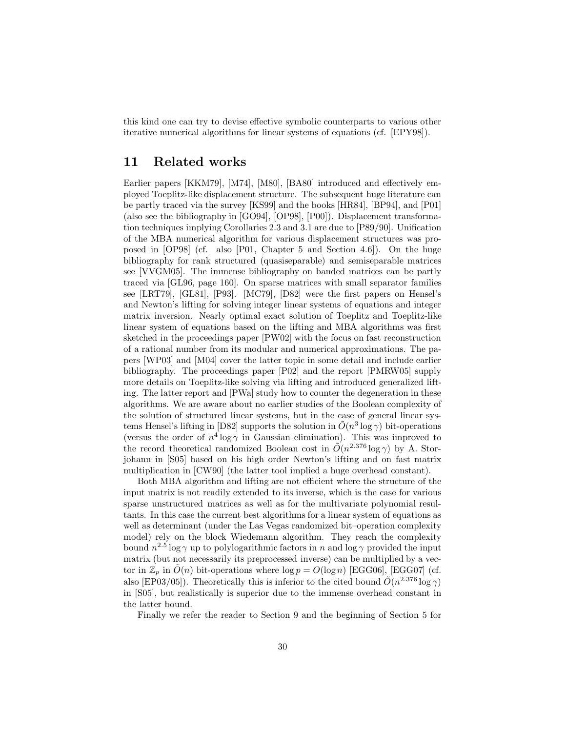this kind one can try to devise effective symbolic counterparts to various other iterative numerical algorithms for linear systems of equations (cf. [EPY98]).

## **11 Related works**

Earlier papers [KKM79], [M74], [M80], [BA80] introduced and effectively employed Toeplitz-like displacement structure. The subsequent huge literature can be partly traced via the survey [KS99] and the books [HR84], [BP94], and [P01] (also see the bibliography in [GO94], [OP98], [P00]). Displacement transformation techniques implying Corollaries 2.3 and 3.1 are due to [P89/90]. Unification of the MBA numerical algorithm for various displacement structures was proposed in [OP98] (cf. also [P01, Chapter 5 and Section 4.6]). On the huge bibliography for rank structured (quasiseparable) and semiseparable matrices see [VVGM05]. The immense bibliography on banded matrices can be partly traced via [GL96, page 160]. On sparse matrices with small separator families see [LRT79], [GL81], [P93]. [MC79], [D82] were the first papers on Hensel's and Newton's lifting for solving integer linear systems of equations and integer matrix inversion. Nearly optimal exact solution of Toeplitz and Toeplitz-like linear system of equations based on the lifting and MBA algorithms was first sketched in the proceedings paper [PW02] with the focus on fast reconstruction of a rational number from its modular and numerical approximations. The papers [WP03] and [M04] cover the latter topic in some detail and include earlier bibliography. The proceedings paper [P02] and the report [PMRW05] supply more details on Toeplitz-like solving via lifting and introduced generalized lifting. The latter report and [PWa] study how to counter the degeneration in these algorithms. We are aware about no earlier studies of the Boolean complexity of the solution of structured linear systems, but in the case of general linear systems Hensel's lifting in [D82] supports the solution in  $\tilde{O}(n^3 \log \gamma)$  bit-operations (versus the order of  $n^4 \log \gamma$  in Gaussian elimination). This was improved to the record theoretical randomized Boolean cost in  $\tilde{O}(n^{2.376} \log \gamma)$  by A. Storjohann in [S05] based on his high order Newton's lifting and on fast matrix multiplication in [CW90] (the latter tool implied a huge overhead constant).

Both MBA algorithm and lifting are not efficient where the structure of the input matrix is not readily extended to its inverse, which is the case for various sparse unstructured matrices as well as for the multivariate polynomial resultants. In this case the current best algorithms for a linear system of equations as well as determinant (under the Las Vegas randomized bit–operation complexity model) rely on the block Wiedemann algorithm. They reach the complexity bound  $n^{2.5}$  log  $\gamma$  up to polylogarithmic factors in n and log  $\gamma$  provided the input matrix (but not necessarily its preprocessed inverse) can be multiplied by a vector in  $\mathbb{Z}_p$  in  $\tilde{O}(n)$  bit-operations where  $\log p = O(\log n)$  [EGG06], [EGG07] (cf. also [EP03/05]). Theoretically this is inferior to the cited bound  $\tilde{O}(n^{2.376} \log \gamma)$ in [S05], but realistically is superior due to the immense overhead constant in the latter bound.

Finally we refer the reader to Section 9 and the beginning of Section 5 for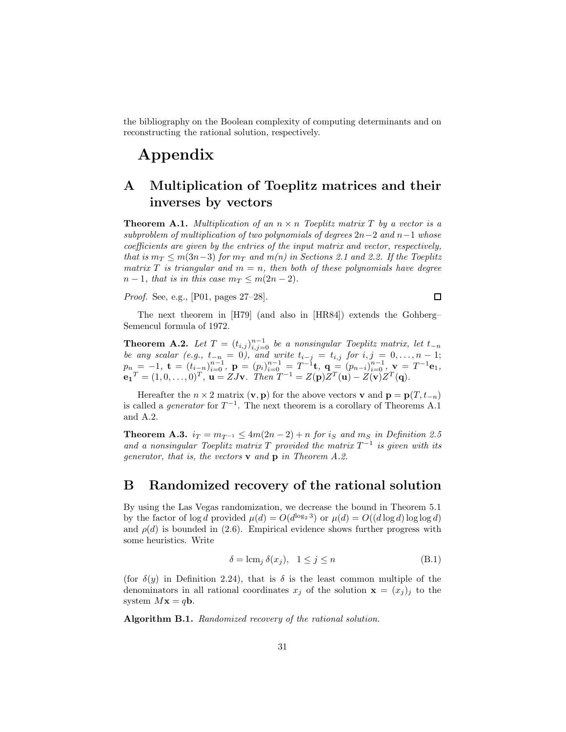the bibliography on the Boolean complexity of computing determinants and on reconstructing the rational solution, respectively.

# **Appendix**

## **A Multiplication of Toeplitz matrices and their inverses by vectors**

**Theorem A.1.** *Multiplication of an*  $n \times n$  *Toeplitz matrix T by a vector is a subproblem of multiplication of two polynomials of degrees* 2n−2 *and* n−1 *whose coefficients are given by the entries of the input matrix and vector, respectively, that is*  $m_T \leq m(3n-3)$  *for*  $m_T$  *and*  $m(n)$  *in Sections 2.1 and 2.2. If the Toeplitz matrix* T *is triangular and*  $m = n$ *, then both of these polynomials have degree*  $n-1$ *, that is in this case*  $m_T \leq m(2n-2)$ *.* 

*Proof.* See, e.g., [P01, pages 27–28].

 $\Box$ 

The next theorem in [H79] (and also in [HR84]) extends the Gohberg– Semencul formula of 1972.

**Theorem A.2.** *Let*  $T = (t_{i,j})_{i,j=0}^{n-1}$  *be a nonsingular Toeplitz matrix, let*  $t_{-n}$ *be any scalar (e.g.,*  $t_{-n} = 0$ ), and write  $t_{i-j} = t_{i,j}$  for  $i, j = 0, ..., n-1$ ;  $p_n = -1$ ,  $\mathbf{t} = (t_{i-n})_{i=0}^{n-1}$ ,  $\mathbf{p} = (p_i)_{i=0}^{n-1} = T^{-1}\mathbf{t}$ ,  $\mathbf{q} = (p_{n-i})_{i=0}^{n-1}$ ,  $\mathbf{v} = T^{-1}\mathbf{e}_1$ ,  $\mathbf{e}_1^T = (1, 0, \dots, 0)^T$ ,  $\mathbf{u} = ZJ\mathbf{v}$ *. Then*  $T^{-1} = Z(\mathbf{p})Z^T(\mathbf{u}) - Z(\mathbf{v})Z^T(\mathbf{q})$ *.* 

Hereafter the  $n \times 2$  matrix  $(\mathbf{v}, \mathbf{p})$  for the above vectors **v** and  $\mathbf{p} = \mathbf{p}(T, t_{-n})$ is called a *generator* for  $T^{-1}$ . The next theorem is a corollary of Theorems A.1 and A.2.

**Theorem A.3.**  $i_T = m_{T^{-1}} \leq 4m(2n-2) + n$  *for*  $i_S$  *and*  $m_S$  *in Definition 2.5 and a nonsingular Toeplitz matrix*  $T$  *provided the matrix*  $T^{-1}$  *is given with its generator, that is, the vectors* **v** *and* **p** *in Theorem A.2.*

## **B Randomized recovery of the rational solution**

By using the Las Vegas randomization, we decrease the bound in Theorem 5.1 by the factor of  $\log d$  provided  $\mu(d) = O(d^{\log_2 3})$  or  $\mu(d) = O((d \log d) \log \log d)$ and  $\rho(d)$  is bounded in (2.6). Empirical evidence shows further progress with some heuristics. Write

$$
\delta = \operatorname{lcm}_j \delta(x_j), \quad 1 \le j \le n \tag{B.1}
$$

(for  $\delta(y)$  in Definition 2.24), that is  $\delta$  is the least common multiple of the denominators in all rational coordinates  $x_i$  of the solution  $\mathbf{x} = (x_i)_i$  to the system  $Mx = q**b**$ .

**Algorithm B.1.** *Randomized recovery of the rational solution.*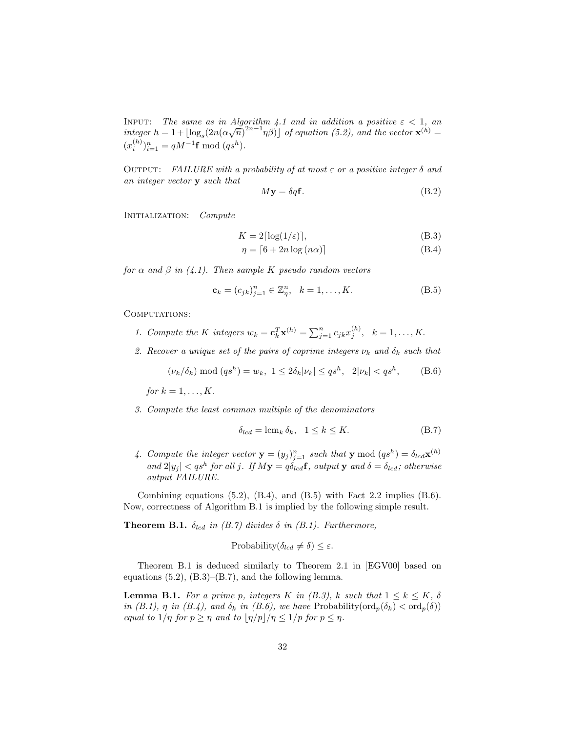INPUT: *The same as in Algorithm 4.1 and in addition a positive*  $\varepsilon < 1$ , an *integer*  $h = 1 + \lfloor \log_s(2n(\alpha\sqrt{n})^{2n-1}\eta\beta) \rfloor$  *of equation (5.2), and the vector*  $\mathbf{x}^{(h)} =$  $(x_i^{(h)})_{i=1}^n = qM^{-1}\mathbf{f} \bmod (qs^h).$ 

Output: *FAILURE with a probability of at most* ε *or a positive integer* δ *and an integer vector* **y** *such that*

$$
M\mathbf{y} = \delta q \mathbf{f}.\tag{B.2}
$$

Initialization: *Compute*

$$
K = 2\lceil \log(1/\varepsilon) \rceil,\tag{B.3}
$$

$$
\eta = \lceil 6 + 2n \log (n\alpha) \rceil \tag{B.4}
$$

*for*  $\alpha$  *and*  $\beta$  *in* (4.1). Then sample K pseudo random vectors

$$
\mathbf{c}_k = (c_{jk})_{j=1}^n \in \mathbb{Z}_\eta^n, \ \ k = 1, \dots, K. \tag{B.5}
$$

COMPUTATIONS:

- *1. Compute the* K *integers*  $w_k = \mathbf{c}_k^T \mathbf{x}^{(h)} = \sum_{j=1}^n c_{jk} x_j^{(h)}, \quad k = 1, \ldots, K.$
- 2. Recover a unique set of the pairs of coprime integers  $\nu_k$  and  $\delta_k$  such that

$$
(\nu_k/\delta_k) \bmod (qs^h) = w_k, \ 1 \le 2\delta_k |\nu_k| \le qs^h, \ 2|\nu_k| < qs^h,\tag{B.6}
$$

*for*  $k = 1, ..., K$ *.* 

*3. Compute the least common multiple of the denominators*

$$
\delta_{lcd} = \operatorname{lcm}_k \delta_k, \quad 1 \le k \le K. \tag{B.7}
$$

4. Compute the integer vector  $\mathbf{y} = (y_j)_{j=1}^n$  such that  $\mathbf{y} \mod (q s^h) = \delta_{l c d} \mathbf{x}^{(h)}$  $\int$  *and*  $2|y_j| < qs^h$  *for all* j*.* If  $My = q\delta_{lcd}$ **f**, output **y** and  $\delta = \delta_{lcd}$ ; otherwise *output FAILURE.*

Combining equations  $(5.2)$ ,  $(B.4)$ , and  $(B.5)$  with Fact 2.2 implies  $(B.6)$ . Now, correctness of Algorithm B.1 is implied by the following simple result.

**Theorem B.1.**  $\delta_{lcd}$  *in (B.7) divides*  $\delta$  *in (B.1). Furthermore,* 

Probability
$$
(\delta_{lcd} \neq \delta) \leq \varepsilon
$$
.

Theorem B.1 is deduced similarly to Theorem 2.1 in [EGV00] based on equations  $(5.2)$ ,  $(B.3)$ – $(B.7)$ , and the following lemma.

**Lemma B.1.** *For a prime p, integers* K *in (B.3),* k *such that*  $1 \leq k \leq K$ ,  $\delta$ *in (B.1),*  $\eta$  *in (B.4), and*  $\delta_k$  *in (B.6), we have* Probability( $\text{ord}_p(\delta_k) < \text{ord}_p(\delta)$ ) *equal to*  $1/\eta$  *for*  $p \geq \eta$  *and to*  $\lfloor \eta/p \rfloor / \eta \leq 1/p$  *for*  $p \leq \eta$ *.*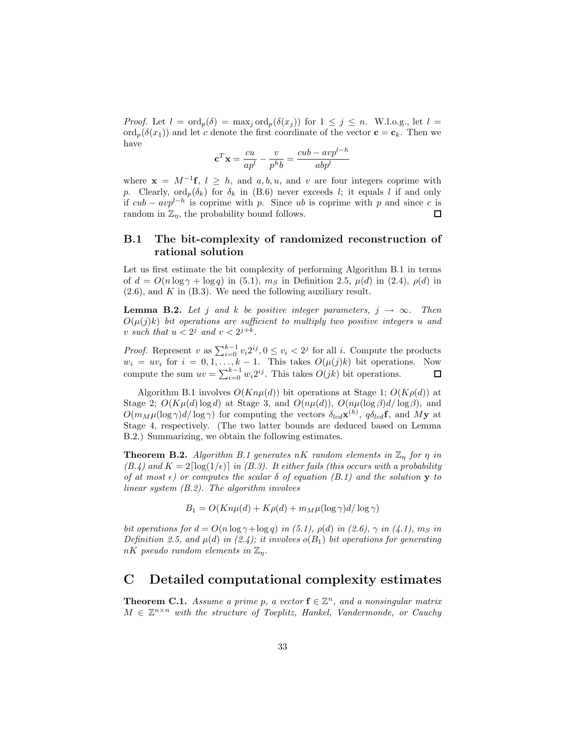*Proof.* Let  $l = \text{ord}_p(\delta) = \max_j \text{ord}_p(\delta(x_j))$  for  $1 \leq j \leq n$ . W.l.o.g., let  $l =$ ord<sub>p</sub>( $\delta(x_1)$ ) and let c denote the first coordinate of the vector  $\mathbf{c} = \mathbf{c}_k$ . Then we have

$$
\mathbf{c}^T \mathbf{x} = \frac{cu}{ap^l} - \frac{v}{p^h b} = \frac{cub - avp^{l-h}}{abp^l}
$$

where  $\mathbf{x} = M^{-1}\mathbf{f}, l \geq h$ , and a, b, u, and v are four integers coprime with p. Clearly,  $\text{ord}_p(\delta_k)$  for  $\delta_k$  in (B.6) never exceeds l; it equals l if and only if  $cub - avp^{l-h}$  is coprime with p. Since ub is coprime with p and since c is random in  $\mathbb{Z}_n$ , the probability bound follows.  $\Box$ 

## **B.1 The bit-complexity of randomized reconstruction of rational solution**

Let us first estimate the bit complexity of performing Algorithm B.1 in terms of  $d = O(n \log \gamma + \log q)$  in (5.1),  $m<sub>S</sub>$  in Definition 2.5,  $\mu(d)$  in (2.4),  $\rho(d)$  in  $(2.6)$ , and K in  $(B.3)$ . We need the following auxiliary result.

**Lemma B.2.** *Let* j and k be positive integer parameters,  $j \rightarrow \infty$ . Then  $O(\mu(j)k)$  *bit operations are sufficient to multiply two positive integers* u and v *such that*  $u < 2^j$  *and*  $v < 2^{j+k}$ .

*Proof.* Represent v as  $\sum_{i=0}^{k-1} v_i 2^{ij}$ ,  $0 \le v_i < 2^j$  for all i. Compute the products  $w_i = uv_i$  for  $i = 0, 1, ..., k - 1$ . This takes  $O(\mu(j)k)$  bit operations. Now compute the sum  $uv = \sum_{i=0}^{k-1} w_i 2^{ij}$ . This takes  $O(jk)$  bit operations.

Algorithm B.1 involves  $O(Kn\mu(d))$  bit operations at Stage 1;  $O(K\rho(d))$  at Stage 2;  $O(K\mu(d) \log d)$  at Stage 3, and  $O(n\mu(d))$ ,  $O(n\mu(\log \beta)d/\log \beta)$ , and  $O(m_M \mu(\log \gamma)d/\log \gamma)$  for computing the vectors  $\delta_{lcd}(\mathbf{x}^{(h)}, \mathbf{\phi}_{lcd}(\mathbf{f}, \mathbf{a}))$  at Stage 4, respectively. (The two latter bounds are deduced based on Lemma B.2.) Summarizing, we obtain the following estimates.

**Theorem B.2.** *Algorithm B.1 generates nK random elements in*  $\mathbb{Z}_n$  *for*  $\eta$  *in*  $(B.4)$  and  $K = 2 \lceil \log(1/\epsilon) \rceil$  *in (B.3). It either fails (this occurs with a probability of at most*  $\epsilon$ ) *or computes the scalar*  $\delta$  *of equation* (B.1) and the solution **y** *to linear system (B.2). The algorithm involves*

$$
B_1 = O(Kn\mu(d) + K\rho(d) + m_M\mu(\log \gamma)d/\log \gamma)
$$

*bit operations for*  $d = O(n \log \gamma + \log q)$  *in (5.1),*  $\rho(d)$  *in (2.6),*  $\gamma$  *in (4.1),*  $m_S$  *in Definition 2.5, and*  $\mu(d)$  *in (2.4); it involves*  $o(B_1)$  *bit operations for generating*  $nK$  *pseudo random elements in*  $\mathbb{Z}_n$ .

## **C Detailed computational complexity estimates**

**Theorem C.1.** *Assume a prime p, a vector*  $f \in \mathbb{Z}^n$ *, and a nonsingular matrix*  $M \in \mathbb{Z}^{n \times n}$  with the structure of Toeplitz, Hankel, Vandermonde, or Cauchy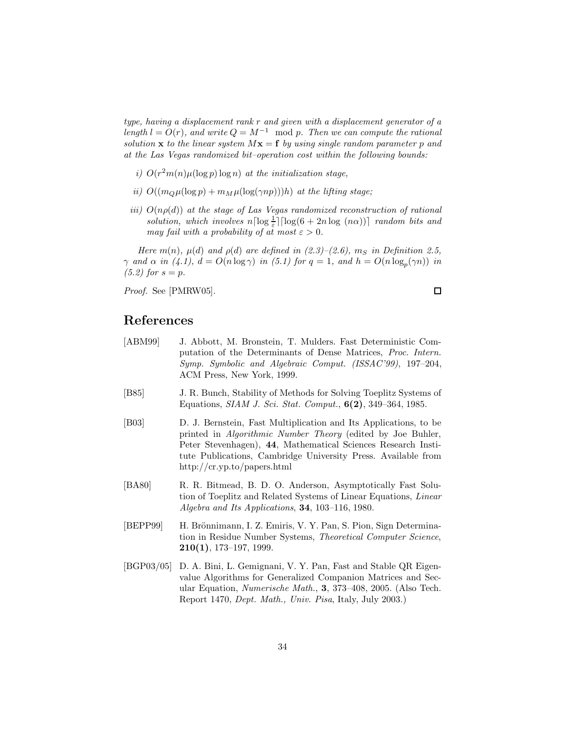*type, having a displacement rank* r *and given with a displacement generator of a*  $length l = O(r)$ *, and write*  $Q = M^{-1}$  mod p. Then we can compute the rational *solution* **x** *to the linear system*  $M$ **x** = **f** *by using single random parameter* p and *at the Las Vegas randomized bit–operation cost within the following bounds:*

- *i)*  $O(r^2m(n)\mu(\log p)\log n)$  *at the initialization stage,*
- *ii)*  $O((m_Q \mu (\log p) + m_M \mu (\log(\gamma np)))h)$  *at the lifting stage;*
- *iii)*  $O(n\rho(d))$  *at the stage of Las Vegas randomized reconstruction of rational solution, which involves*  $n\lceil \log \frac{1}{\varepsilon} \rceil \lceil \log(6 + 2n \log(n\alpha)) \rceil$  *random bits and may fail with a probability of at most*  $\varepsilon > 0$ *.*

*Here*  $m(n)$ ,  $\mu(d)$  *and*  $\rho(d)$  *are defined in (2.3)–(2.6),*  $m<sub>S</sub>$  *in Definition 2.5,*  $\gamma$  *and*  $\alpha$  *in* (4.1),  $d = O(n \log \gamma)$  *in* (5.1) for  $q = 1$ , and  $h = O(n \log_p(\gamma n))$  *in (5.2)* for  $s = p$ .

*Proof.* See [PMRW05].

 $\Box$ 

## **References**

- [ABM99] J. Abbott, M. Bronstein, T. Mulders. Fast Deterministic Computation of the Determinants of Dense Matrices, *Proc. Intern. Symp. Symbolic and Algebraic Comput. (ISSAC'99)*, 197–204, ACM Press, New York, 1999.
- [B85] J. R. Bunch, Stability of Methods for Solving Toeplitz Systems of Equations, *SIAM J. Sci. Stat. Comput.*, **6(2)**, 349–364, 1985.
- [B03] D. J. Bernstein, Fast Multiplication and Its Applications, to be printed in *Algorithmic Number Theory* (edited by Joe Buhler, Peter Stevenhagen), **44**, Mathematical Sciences Research Institute Publications, Cambridge University Press. Available from http://cr.yp.to/papers.html
- [BA80] R. R. Bitmead, B. D. O. Anderson, Asymptotically Fast Solution of Toeplitz and Related Systems of Linear Equations, *Linear Algebra and Its Applications*, **34**, 103–116, 1980.
- [BEPP99] H. Brönnimann, I. Z. Emiris, V. Y. Pan, S. Pion, Sign Determination in Residue Number Systems, *Theoretical Computer Science*, **210(1)**, 173–197, 1999.
- [BGP03/05] D. A. Bini, L. Gemignani, V. Y. Pan, Fast and Stable QR Eigenvalue Algorithms for Generalized Companion Matrices and Secular Equation, *Numerische Math.*, **3**, 373–408, 2005. (Also Tech. Report 1470, *Dept. Math., Univ. Pisa*, Italy, July 2003.)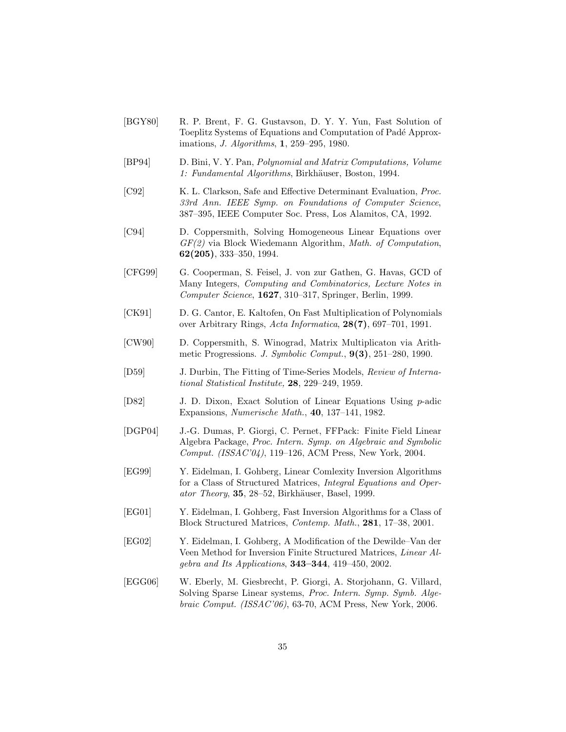- [BGY80] R. P. Brent, F. G. Gustavson, D. Y. Y. Yun, Fast Solution of Toeplitz Systems of Equations and Computation of Padé Approximations, *J. Algorithms*, **1**, 259–295, 1980.
- [BP94] D. Bini, V. Y. Pan, *Polynomial and Matrix Computations, Volume* 1: Fundamental Algorithms, Birkhäuser, Boston, 1994.
- [C92] K. L. Clarkson, Safe and Effective Determinant Evaluation, *Proc. 33rd Ann. IEEE Symp. on Foundations of Computer Science*, 387–395, IEEE Computer Soc. Press, Los Alamitos, CA, 1992.
- [C94] D. Coppersmith, Solving Homogeneous Linear Equations over *GF(2)* via Block Wiedemann Algorithm, *Math. of Computation*, **62(205)**, 333–350, 1994.
- [CFG99] G. Cooperman, S. Feisel, J. von zur Gathen, G. Havas, GCD of Many Integers, *Computing and Combinatorics, Lecture Notes in Computer Science*, **1627**, 310–317, Springer, Berlin, 1999.
- [CK91] D. G. Cantor, E. Kaltofen, On Fast Multiplication of Polynomials over Arbitrary Rings, *Acta Informatica*, **28(7)**, 697–701, 1991.
- [CW90] D. Coppersmith, S. Winograd, Matrix Multiplicaton via Arithmetic Progressions. *J. Symbolic Comput.*, **9(3)**, 251–280, 1990.
- [D59] J. Durbin, The Fitting of Time-Series Models, *Review of International Statistical Institute,* **28**, 229–249, 1959.
- [D82] J. D. Dixon, Exact Solution of Linear Equations Using p-adic Expansions, *Numerische Math.*, **40**, 137–141, 1982.
- [DGP04] J.-G. Dumas, P. Giorgi, C. Pernet, FFPack: Finite Field Linear Algebra Package, *Proc. Intern. Symp. on Algebraic and Symbolic Comput. (ISSAC'04)*, 119–126, ACM Press, New York, 2004.
- [EG99] Y. Eidelman, I. Gohberg, Linear Comlexity Inversion Algorithms for a Class of Structured Matrices, *Integral Equations and Operator Theory*, **35**, 28–52, Birkhäuser, Basel, 1999.
- [EG01] Y. Eidelman, I. Gohberg, Fast Inversion Algorithms for a Class of Block Structured Matrices, *Contemp. Math.*, **281**, 17–38, 2001.
- [EG02] Y. Eidelman, I. Gohberg, A Modification of the Dewilde–Van der Veen Method for Inversion Finite Structured Matrices, *Linear Algebra and Its Applications*, **343–344**, 419–450, 2002.
- [EGG06] W. Eberly, M. Giesbrecht, P. Giorgi, A. Storjohann, G. Villard, Solving Sparse Linear systems, *Proc. Intern. Symp. Symb. Algebraic Comput. (ISSAC'06)*, 63-70, ACM Press, New York, 2006.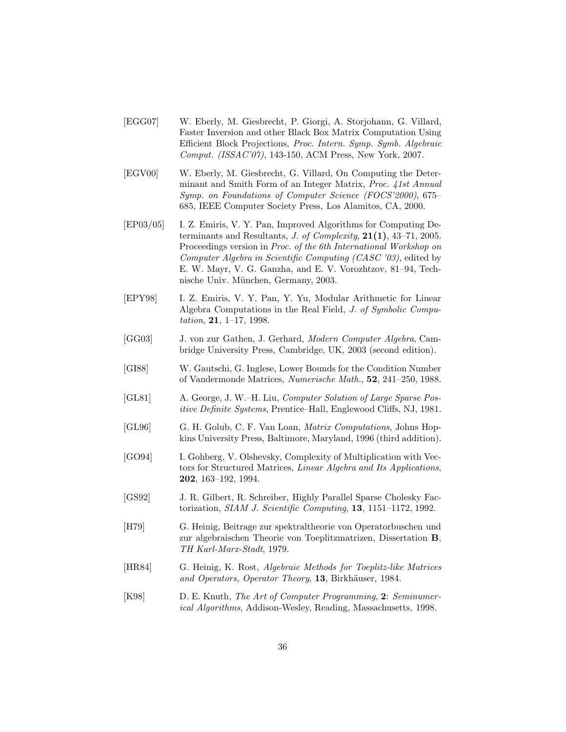- [EGG07] W. Eberly, M. Giesbrecht, P. Giorgi, A. Storjohann, G. Villard, Faster Inversion and other Black Box Matrix Computation Using Efficient Block Projections, *Proc. Intern. Symp. Symb. Algebraic Comput. (ISSAC'07)*, 143-150, ACM Press, New York, 2007.
- [EGV00] W. Eberly, M. Giesbrecht, G. Villard, On Computing the Determinant and Smith Form of an Integer Matrix, *Proc. 41st Annual Symp. on Foundations of Computer Science (FOCS'2000)*, 675– 685, IEEE Computer Society Press, Los Alamitos, CA, 2000.
- [EP03/05] I. Z. Emiris, V. Y. Pan, Improved Algorithms for Computing Determinants and Resultants, *J. of Complexity*, **21(1)**, 43–71, 2005. Proceedings version in *Proc. of the 6th International Workshop on Computer Algebra in Scientific Computing (CASC '03)*, edited by E. W. Mayr, V. G. Ganzha, and E. V. Vorozhtzov, 81–94, Technische Univ. München, Germany, 2003.
- [EPY98] I. Z. Emiris, V. Y. Pan, Y. Yu, Modular Arithmetic for Linear Algebra Computations in the Real Field, *J. of Symbolic Computation*, **21**, 1–17, 1998.
- [GG03] J. von zur Gathen, J. Gerhard, *Modern Computer Algebra*, Cambridge University Press, Cambridge, UK, 2003 (second edition).
- [GI88] W. Gautschi, G. Inglese, Lower Bounds for the Condition Number of Vandermonde Matrices, *Numerische Math.*, **52**, 241–250, 1988.
- [GL81] A. George, J. W.–H. Liu, *Computer Solution of Large Sparse Positive Definite Systems*, Prentice–Hall, Englewood Cliffs, NJ, 1981.
- [GL96] G. H. Golub, C. F. Van Loan, *Matrix Computations*, Johns Hopkins University Press, Baltimore, Maryland, 1996 (third addition).
- [GO94] I. Gohberg, V. Olshevsky, Complexity of Multiplication with Vectors for Structured Matrices, *Linear Algebra and Its Applications*, **202**, 163–192, 1994.
- [GS92] J. R. Gilbert, R. Schreiber, Highly Parallel Sparse Cholesky Factorization, *SIAM J. Scientific Computing*, **13**, 1151–1172, 1992.
- [H79] G. Heinig, Beitrage zur spektraltheorie von Operatorbuschen und zur algebraischen Theorie von Toeplitzmatrizen, Dissertation **B**, *TH Karl-Marx-Stadt*, 1979.
- [HR84] G. Heinig, K. Rost, *Algebraic Methods for Toeplitz-like Matrices* and Operators, Operator Theory, 13, Birkhäuser, 1984.
- [K98] D. E. Knuth, *The Art of Computer Programming*, **2**: *Seminumerical Algorithms*, Addison-Wesley, Reading, Massachusetts, 1998.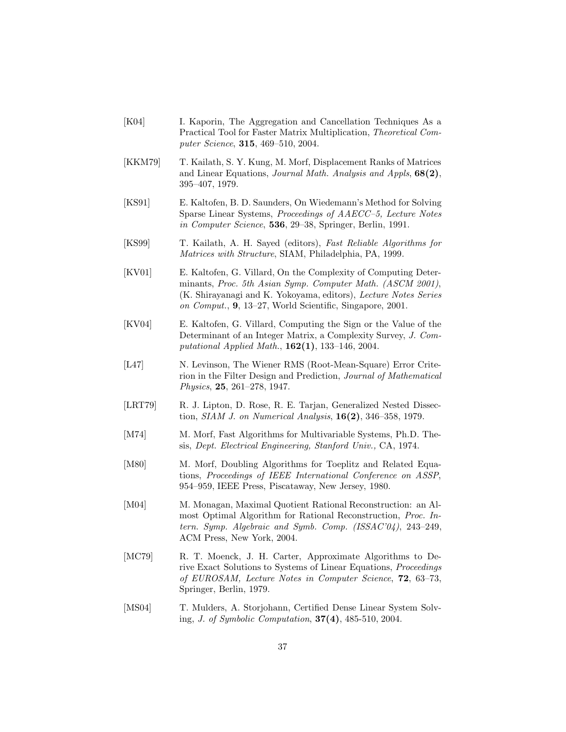- [K04] I. Kaporin, The Aggregation and Cancellation Techniques As a Practical Tool for Faster Matrix Multiplication, *Theoretical Computer Science*, **315**, 469–510, 2004.
- [KKM79] T. Kailath, S. Y. Kung, M. Morf, Displacement Ranks of Matrices and Linear Equations, *Journal Math. Analysis and Appls*, **68(2)**, 395–407, 1979.
- [KS91] E. Kaltofen, B. D. Saunders, On Wiedemann's Method for Solving Sparse Linear Systems, *Proceedings of AAECC–5, Lecture Notes in Computer Science*, **536**, 29–38, Springer, Berlin, 1991.
- [KS99] T. Kailath, A. H. Sayed (editors), *Fast Reliable Algorithms for Matrices with Structure*, SIAM, Philadelphia, PA, 1999.
- [KV01] E. Kaltofen, G. Villard, On the Complexity of Computing Determinants, *Proc. 5th Asian Symp. Computer Math. (ASCM 2001)*, (K. Shirayanagi and K. Yokoyama, editors), *Lecture Notes Series on Comput.*, **9**, 13–27, World Scientific, Singapore, 2001.
- [KV04] E. Kaltofen, G. Villard, Computing the Sign or the Value of the Determinant of an Integer Matrix, a Complexity Survey, *J. Computational Applied Math.*, **162(1)**, 133–146, 2004.
- [L47] N. Levinson, The Wiener RMS (Root-Mean-Square) Error Criterion in the Filter Design and Prediction, *Journal of Mathematical Physics*, **25**, 261–278, 1947.
- [LRT79] R. J. Lipton, D. Rose, R. E. Tarjan, Generalized Nested Dissection, *SIAM J. on Numerical Analysis*, **16(2)**, 346–358, 1979.
- [M74] M. Morf, Fast Algorithms for Multivariable Systems, Ph.D. Thesis, *Dept. Electrical Engineering, Stanford Univ.,* CA, 1974.
- [M80] M. Morf, Doubling Algorithms for Toeplitz and Related Equations, *Proceedings of IEEE International Conference on ASSP*, 954–959, IEEE Press, Piscataway, New Jersey, 1980.
- [M04] M. Monagan, Maximal Quotient Rational Reconstruction: an Almost Optimal Algorithm for Rational Reconstruction, *Proc. Intern. Symp. Algebraic and Symb. Comp. (ISSAC'04)*, 243–249, ACM Press, New York, 2004.
- [MC79] R. T. Moenck, J. H. Carter, Approximate Algorithms to Derive Exact Solutions to Systems of Linear Equations, *Proceedings of EUROSAM, Lecture Notes in Computer Science*, **72**, 63–73, Springer, Berlin, 1979.
- [MS04] T. Mulders, A. Storjohann, Certified Dense Linear System Solving, *J. of Symbolic Computation*, **37(4)**, 485-510, 2004.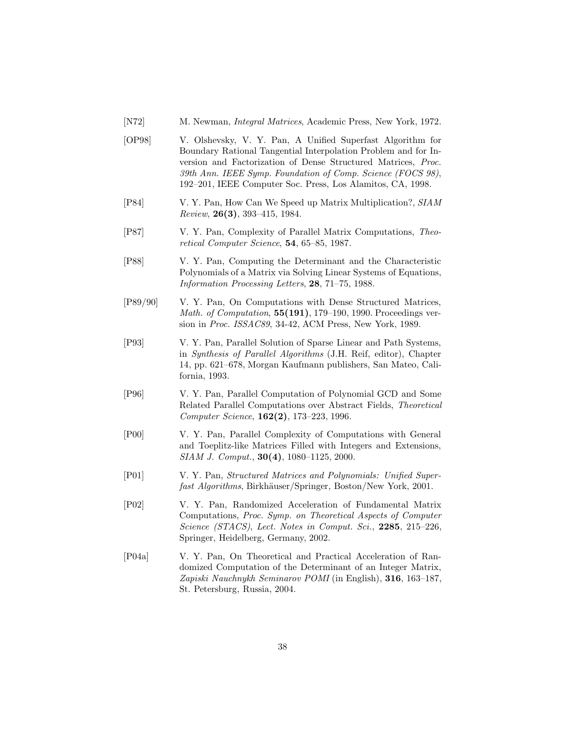- [N72] M. Newman, *Integral Matrices*, Academic Press, New York, 1972.
- [OP98] V. Olshevsky, V. Y. Pan, A Unified Superfast Algorithm for Boundary Rational Tangential Interpolation Problem and for Inversion and Factorization of Dense Structured Matrices, *Proc. 39th Ann. IEEE Symp. Foundation of Comp. Science (FOCS 98)*, 192–201, IEEE Computer Soc. Press, Los Alamitos, CA, 1998.
- [P84] V. Y. Pan, How Can We Speed up Matrix Multiplication?, *SIAM Review*, **26(3)**, 393–415, 1984.
- [P87] V. Y. Pan, Complexity of Parallel Matrix Computations, *Theoretical Computer Science*, **54**, 65–85, 1987.
- [P88] V. Y. Pan, Computing the Determinant and the Characteristic Polynomials of a Matrix via Solving Linear Systems of Equations, *Information Processing Letters*, **28**, 71–75, 1988.
- [P89/90] V. Y. Pan, On Computations with Dense Structured Matrices, *Math. of Computation*, **55(191)**, 179–190, 1990. Proceedings version in *Proc. ISSAC89*, 34-42, ACM Press, New York, 1989.
- [P93] V. Y. Pan, Parallel Solution of Sparse Linear and Path Systems, in *Synthesis of Parallel Algorithms* (J.H. Reif, editor), Chapter 14, pp. 621–678, Morgan Kaufmann publishers, San Mateo, California, 1993.
- [P96] V. Y. Pan, Parallel Computation of Polynomial GCD and Some Related Parallel Computations over Abstract Fields, *Theoretical Computer Science*, **162(2)**, 173–223, 1996.
- [P00] V. Y. Pan, Parallel Complexity of Computations with General and Toeplitz-like Matrices Filled with Integers and Extensions, *SIAM J. Comput.*, **30(4)**, 1080–1125, 2000.
- [P01] V. Y. Pan, *Structured Matrices and Polynomials: Unified Superfast Algorithms*, Birkhäuser/Springer, Boston/New York, 2001.
- [P02] V. Y. Pan, Randomized Acceleration of Fundamental Matrix Computations, *Proc. Symp. on Theoretical Aspects of Computer Science (STACS)*, *Lect. Notes in Comput. Sci.*, **2285**, 215–226, Springer, Heidelberg, Germany, 2002.
- [P04a] V. Y. Pan, On Theoretical and Practical Acceleration of Randomized Computation of the Determinant of an Integer Matrix, *Zapiski Nauchnykh Seminarov POMI* (in English), **316**, 163–187, St. Petersburg, Russia, 2004.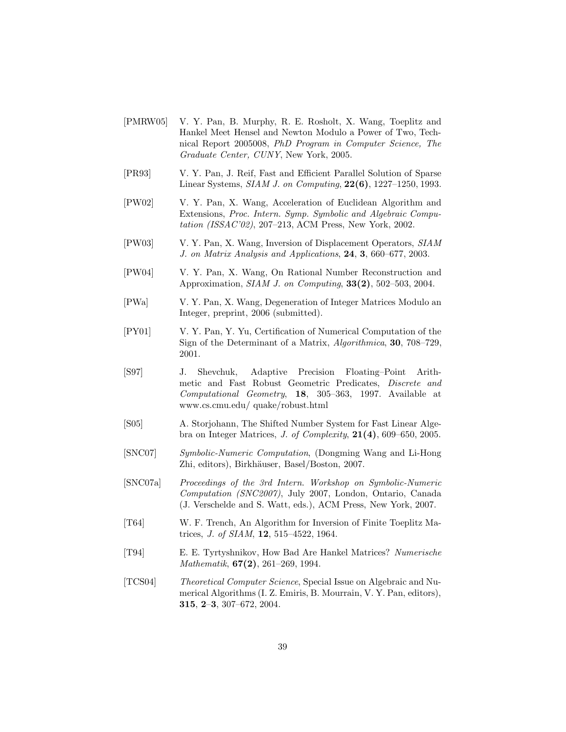- [PMRW05] V. Y. Pan, B. Murphy, R. E. Rosholt, X. Wang, Toeplitz and Hankel Meet Hensel and Newton Modulo a Power of Two, Technical Report 2005008, *PhD Program in Computer Science, The Graduate Center, CUNY*, New York, 2005.
- [PR93] V. Y. Pan, J. Reif, Fast and Efficient Parallel Solution of Sparse Linear Systems, *SIAM J. on Computing*, **22(6)**, 1227–1250, 1993.
- [PW02] V. Y. Pan, X. Wang, Acceleration of Euclidean Algorithm and Extensions, *Proc. Intern. Symp. Symbolic and Algebraic Computation (ISSAC'02)*, 207–213, ACM Press, New York, 2002.
- [PW03] V. Y. Pan, X. Wang, Inversion of Displacement Operators, *SIAM J. on Matrix Analysis and Applications*, **24**, **3**, 660–677, 2003.
- [PW04] V. Y. Pan, X. Wang, On Rational Number Reconstruction and Approximation, *SIAM J. on Computing*, **33(2)**, 502–503, 2004.
- [PWa] V. Y. Pan, X. Wang, Degeneration of Integer Matrices Modulo an Integer, preprint, 2006 (submitted).
- [PY01] V. Y. Pan, Y. Yu, Certification of Numerical Computation of the Sign of the Determinant of a Matrix, *Algorithmica*, **30**, 708–729, 2001.
- [S97] J. Shevchuk, Adaptive Precision Floating–Point Arithmetic and Fast Robust Geometric Predicates, *Discrete and Computational Geometry*, **18**, 305–363, 1997. Available at www.cs.cmu.edu/ quake/robust.html
- [S05] A. Storjohann, The Shifted Number System for Fast Linear Algebra on Integer Matrices, *J. of Complexity*, **21(4)**, 609–650, 2005.
- [SNC07] *Symbolic-Numeric Computation*, (Dongming Wang and Li-Hong Zhi, editors), Birkhäuser, Basel/Boston, 2007.
- [SNC07a] *Proceedings of the 3rd Intern. Workshop on Symbolic-Numeric Computation (SNC2007)*, July 2007, London, Ontario, Canada (J. Verschelde and S. Watt, eds.), ACM Press, New York, 2007.
- [T64] W. F. Trench, An Algorithm for Inversion of Finite Toeplitz Matrices, *J. of SIAM*, **12**, 515–4522, 1964.
- [T94] E. E. Tyrtyshnikov, How Bad Are Hankel Matrices? *Numerische Mathematik*, **67(2)**, 261–269, 1994.
- [TCS04] *Theoretical Computer Science*, Special Issue on Algebraic and Numerical Algorithms (I. Z. Emiris, B. Mourrain, V. Y. Pan, editors), **315**, **2**–**3**, 307–672, 2004.